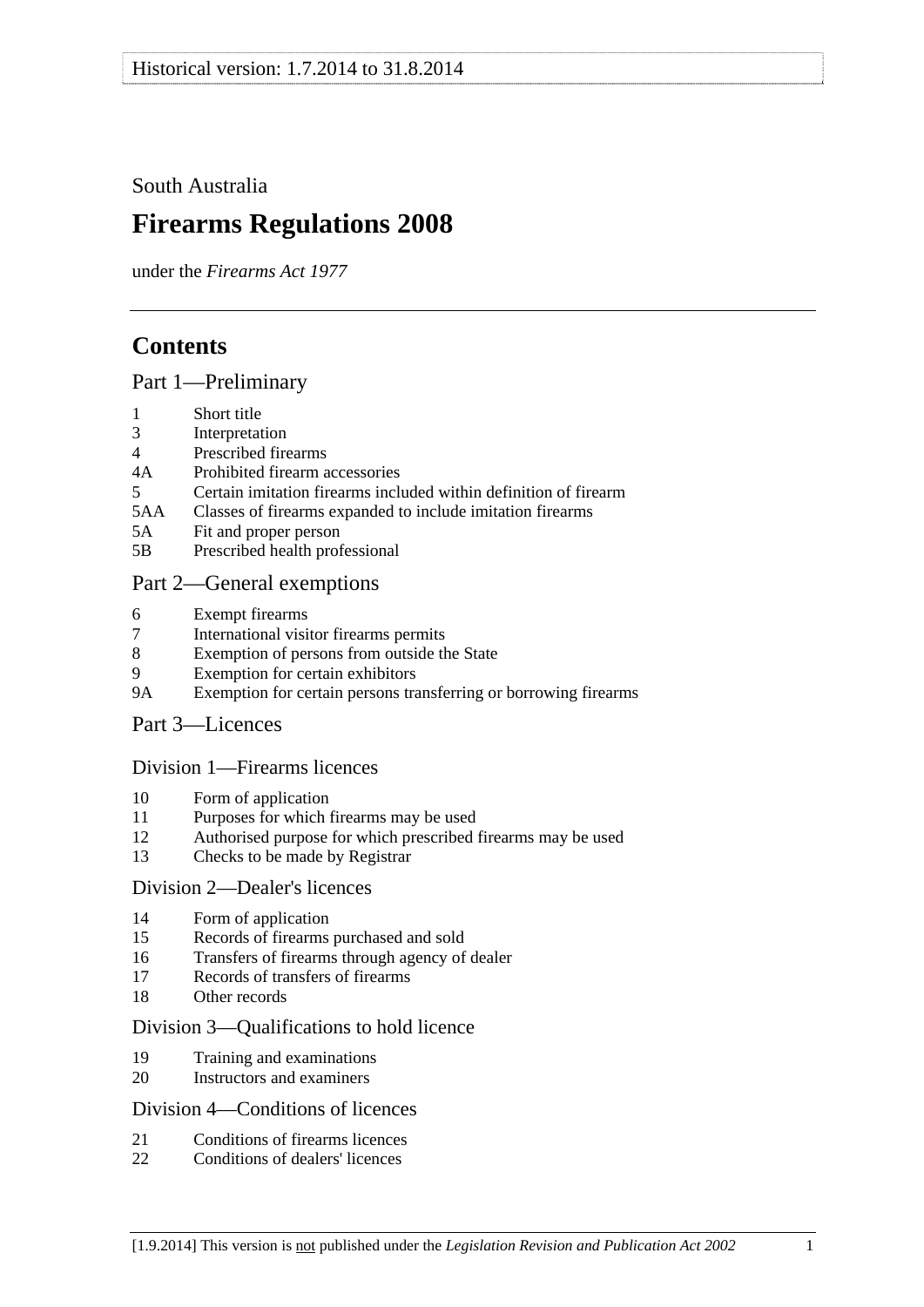<span id="page-0-0"></span>South Australia

# **Firearms Regulations 2008**

under the *Firearms Act 1977*

# **Contents**

## [Part 1—Preliminary](#page-2-0)

- [1 Short title](#page-2-0)
- [3 Interpretation](#page-2-0)
- [4 Prescribed firearms](#page-3-0)
- [4A Prohibited firearm accessories](#page-3-0)
- [5 Certain imitation firearms included within definition of firearm](#page-4-0)
- [5AA Classes of firearms expanded to include imitation firearms](#page-5-0)
- [5A Fit and proper person](#page-5-0)
- [5B Prescribed health professional](#page-6-0)

# [Part 2—General exemptions](#page-6-0)

- [6 Exempt firearms](#page-6-0)
- [7 International visitor firearms permits](#page-7-0)
- [8 Exemption of persons from outside the State](#page-8-0)
- [9 Exemption for certain exhibitors](#page-8-0)
- [9A Exemption for certain persons transferring or borrowing firearms](#page-9-0)
- [Part 3—Licences](#page-9-0)

### [Division 1—Firearms licences](#page-9-0)

- [10 Form of application](#page-9-0)
- [11 Purposes for which firearms may be used](#page-9-0)
- [12 Authorised purpose for which prescribed firearms may be used](#page-10-0)
- [13 Checks to be made by Registrar](#page-10-0)

### [Division 2—Dealer's licences](#page-10-0)

- [14 Form of application](#page-10-0)
- [15 Records of firearms purchased and sold](#page-11-0)
- [16 Transfers of firearms through agency of dealer](#page-11-0)
- [17 Records of transfers of firearms](#page-11-0)
- [18 Other records](#page-12-0)

### [Division 3—Qualifications to hold licence](#page-12-0)

- [19 Training and examinations](#page-12-0)
- [20 Instructors and examiners](#page-12-0)

### [Division 4—Conditions of licences](#page-13-0)

- [21 Conditions of firearms licences](#page-13-0)
- [22 Conditions of dealers' licences](#page-16-0)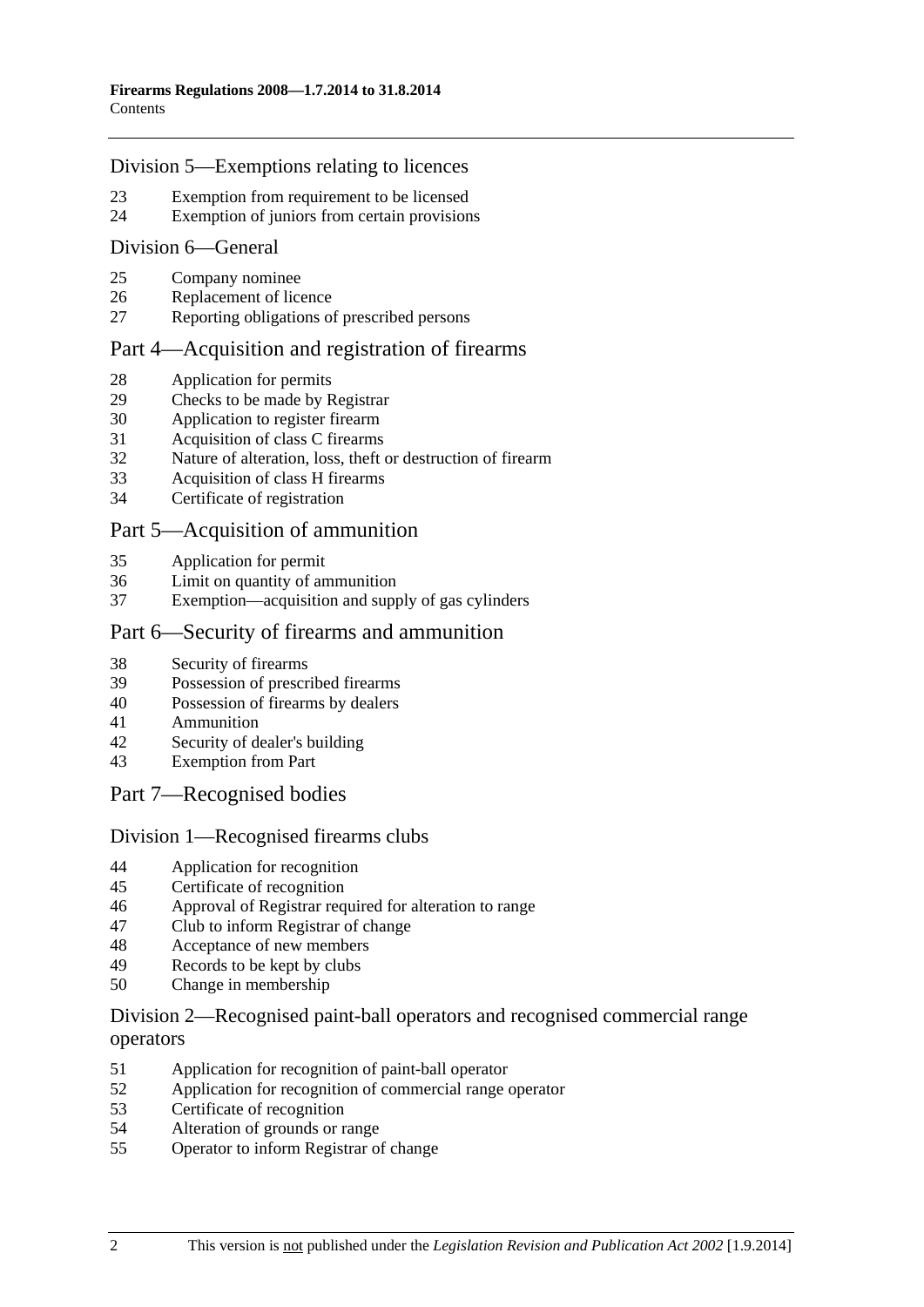### [Division 5—Exemptions relating to licences](#page-17-0)

- [23 Exemption from requirement to be licensed](#page-17-0)
- [24 Exemption of juniors from certain provisions](#page-18-0)

#### [Division 6—General](#page-19-0)

- [25 Company nominee](#page-19-0)
- [26 Replacement of licence](#page-19-0)
- [27 Reporting obligations of prescribed persons](#page-19-0)

## [Part 4—Acquisition and registration of firearms](#page-20-0)

- [28 Application for permits](#page-20-0)
- [29 Checks to be made by Registrar](#page-20-0)
- [30 Application to register firearm](#page-20-0)
- [31 Acquisition of class C firearms](#page-20-0)
- [32 Nature of alteration, loss, theft or destruction of firearm](#page-21-0)
- [33 Acquisition of class H firearms](#page-21-0)
- [34 Certificate of registration](#page-21-0)

## [Part 5—Acquisition of ammunition](#page-22-0)

- [35 Application for permit](#page-22-0)
- [36 Limit on quantity of ammunition](#page-22-0)
- [37 Exemption—acquisition and supply of gas cylinders](#page-22-0)

## [Part 6—Security of firearms and ammunition](#page-22-0)

- [38 Security of firearms](#page-22-0)
- [39 Possession of prescribed firearms](#page-23-0)
- [40 Possession of firearms by dealers](#page-23-0)
- [41 Ammunition](#page-23-0)
- [42 Security of dealer's building](#page-23-0)
- [43 Exemption from Part](#page-23-0)
- [Part 7—Recognised bodies](#page-24-0)

### [Division 1—Recognised firearms clubs](#page-24-0)

- [44 Application for recognition](#page-24-0)
- [45 Certificate of recognition](#page-24-0)
- [46 Approval of Registrar required for alteration to range](#page-24-0)
- [47 Club to inform Registrar of change](#page-25-0)
- [48 Acceptance of new members](#page-25-0)
- [49 Records to be kept by clubs](#page-25-0)
- [50 Change in membership](#page-26-0)

# [Division 2—Recognised paint-ball operators and recognised commercial range](#page-26-0)  [operators](#page-26-0)

- [51 Application for recognition of paint-ball operator](#page-26-0)
- [52 Application for recognition of commercial range operator](#page-26-0)
- [53 Certificate of recognition](#page-27-0)
- [54 Alteration of grounds or range](#page-27-0)
- [55 Operator to inform Registrar of change](#page-27-0)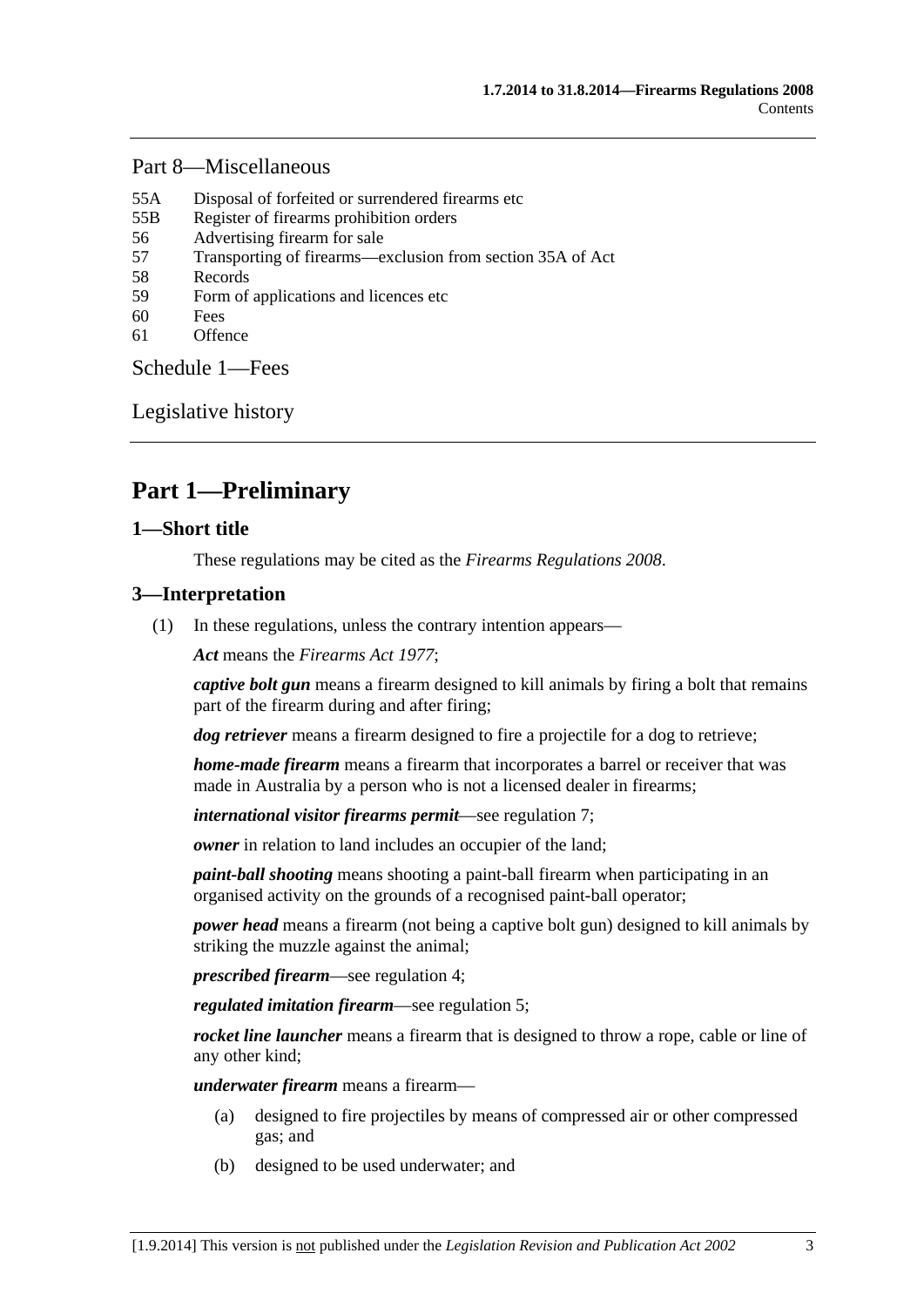## <span id="page-2-0"></span>[Part 8—Miscellaneous](#page-28-0)

- [55A Disposal of forfeited or surrendered firearms etc](#page-28-0)
- [55B Register of firearms prohibition orders](#page-28-0)
- [56 Advertising firearm for sale](#page-28-0)
- [57 Transporting of firearms—exclusion from section 35A of Act](#page-29-0)
- [58 Records](#page-29-0)
- [59 Form of applications and licences etc](#page-29-0)
- [60 Fees](#page-29-0)
- [61 Offence](#page-29-0)

[Schedule 1—Fees](#page-29-0) 

[Legislative history](#page-31-0) 

# **Part 1—Preliminary**

## **1—Short title**

These regulations may be cited as the *Firearms Regulations 2008*.

## **3—Interpretation**

(1) In these regulations, unless the contrary intention appears—

*Act* means the *[Firearms Act 1977](http://www.legislation.sa.gov.au/index.aspx?action=legref&type=act&legtitle=Firearms%20Act%201977)*;

*captive bolt gun* means a firearm designed to kill animals by firing a bolt that remains part of the firearm during and after firing;

*dog retriever* means a firearm designed to fire a projectile for a dog to retrieve;

*home-made firearm* means a firearm that incorporates a barrel or receiver that was made in Australia by a person who is not a licensed dealer in firearms;

*international visitor firearms permit*—see [regulation 7;](#page-7-0)

*owner* in relation to land includes an occupier of the land:

*paint-ball shooting* means shooting a paint-ball firearm when participating in an organised activity on the grounds of a recognised paint-ball operator;

*power head* means a firearm (not being a captive bolt gun) designed to kill animals by striking the muzzle against the animal;

*prescribed firearm*—see [regulation 4;](#page-3-0)

*regulated imitation firearm*—see [regulation 5](#page-0-0);

*rocket line launcher* means a firearm that is designed to throw a rope, cable or line of any other kind;

*underwater firearm* means a firearm—

- (a) designed to fire projectiles by means of compressed air or other compressed gas; and
- (b) designed to be used underwater; and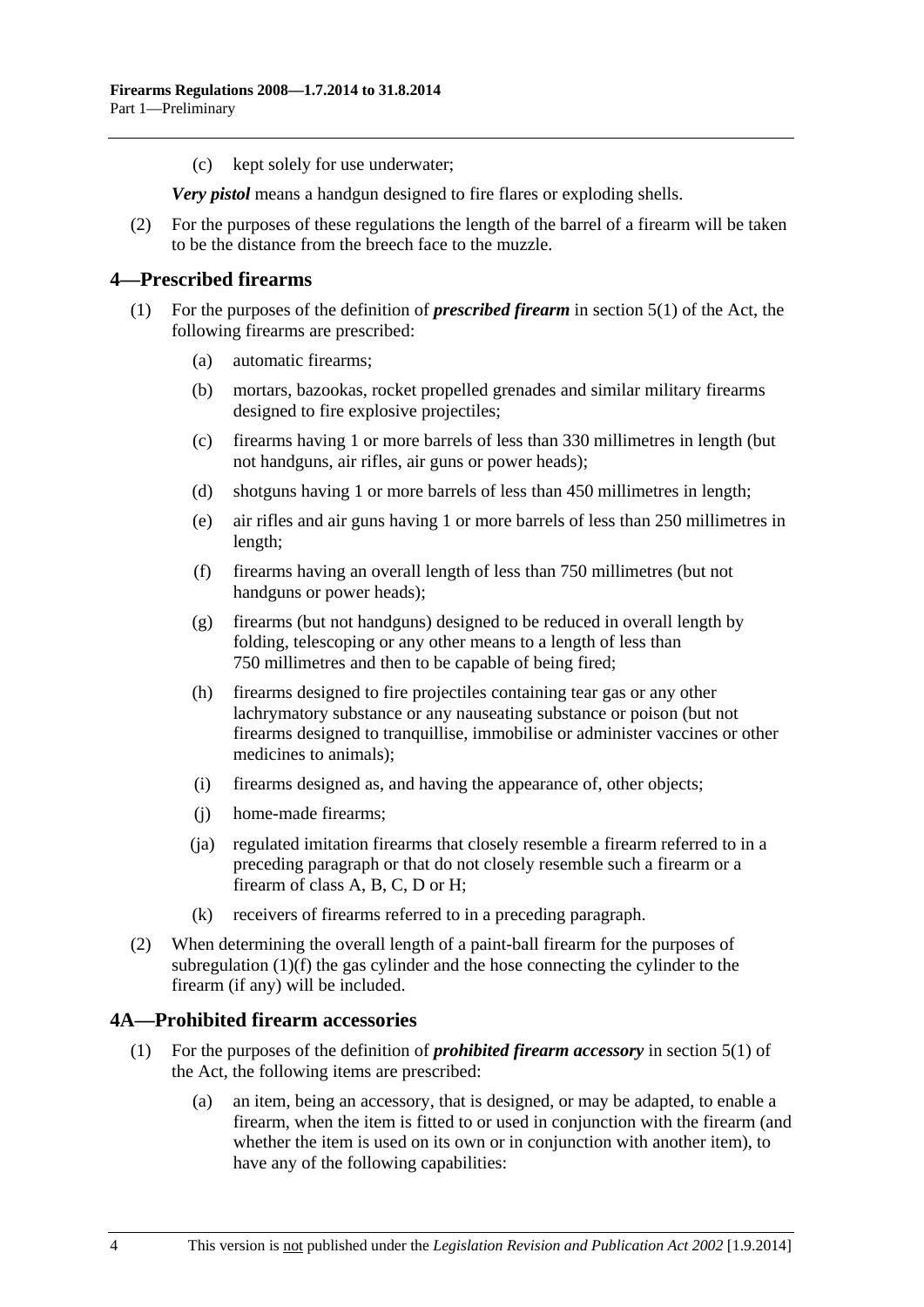<span id="page-3-0"></span>(c) kept solely for use underwater;

*Very pistol* means a handgun designed to fire flares or exploding shells.

 (2) For the purposes of these regulations the length of the barrel of a firearm will be taken to be the distance from the breech face to the muzzle.

## **4—Prescribed firearms**

- (1) For the purposes of the definition of *prescribed firearm* in section 5(1) of the Act, the following firearms are prescribed:
	- (a) automatic firearms;
	- (b) mortars, bazookas, rocket propelled grenades and similar military firearms designed to fire explosive projectiles;
	- (c) firearms having 1 or more barrels of less than 330 millimetres in length (but not handguns, air rifles, air guns or power heads);
	- (d) shotguns having 1 or more barrels of less than 450 millimetres in length;
	- (e) air rifles and air guns having 1 or more barrels of less than 250 millimetres in length;
	- (f) firearms having an overall length of less than 750 millimetres (but not handguns or power heads);
	- (g) firearms (but not handguns) designed to be reduced in overall length by folding, telescoping or any other means to a length of less than 750 millimetres and then to be capable of being fired;
	- (h) firearms designed to fire projectiles containing tear gas or any other lachrymatory substance or any nauseating substance or poison (but not firearms designed to tranquillise, immobilise or administer vaccines or other medicines to animals);
	- (i) firearms designed as, and having the appearance of, other objects;
	- (j) home-made firearms;
	- (ja) regulated imitation firearms that closely resemble a firearm referred to in a preceding paragraph or that do not closely resemble such a firearm or a firearm of class A, B, C, D or H;
	- (k) receivers of firearms referred to in a preceding paragraph.
- (2) When determining the overall length of a paint-ball firearm for the purposes of [subregulation \(1\)\(f\)](#page-3-0) the gas cylinder and the hose connecting the cylinder to the firearm (if any) will be included.

# **4A—Prohibited firearm accessories**

- (1) For the purposes of the definition of *prohibited firearm accessory* in section 5(1) of the Act, the following items are prescribed:
	- (a) an item, being an accessory, that is designed, or may be adapted, to enable a firearm, when the item is fitted to or used in conjunction with the firearm (and whether the item is used on its own or in conjunction with another item), to have any of the following capabilities: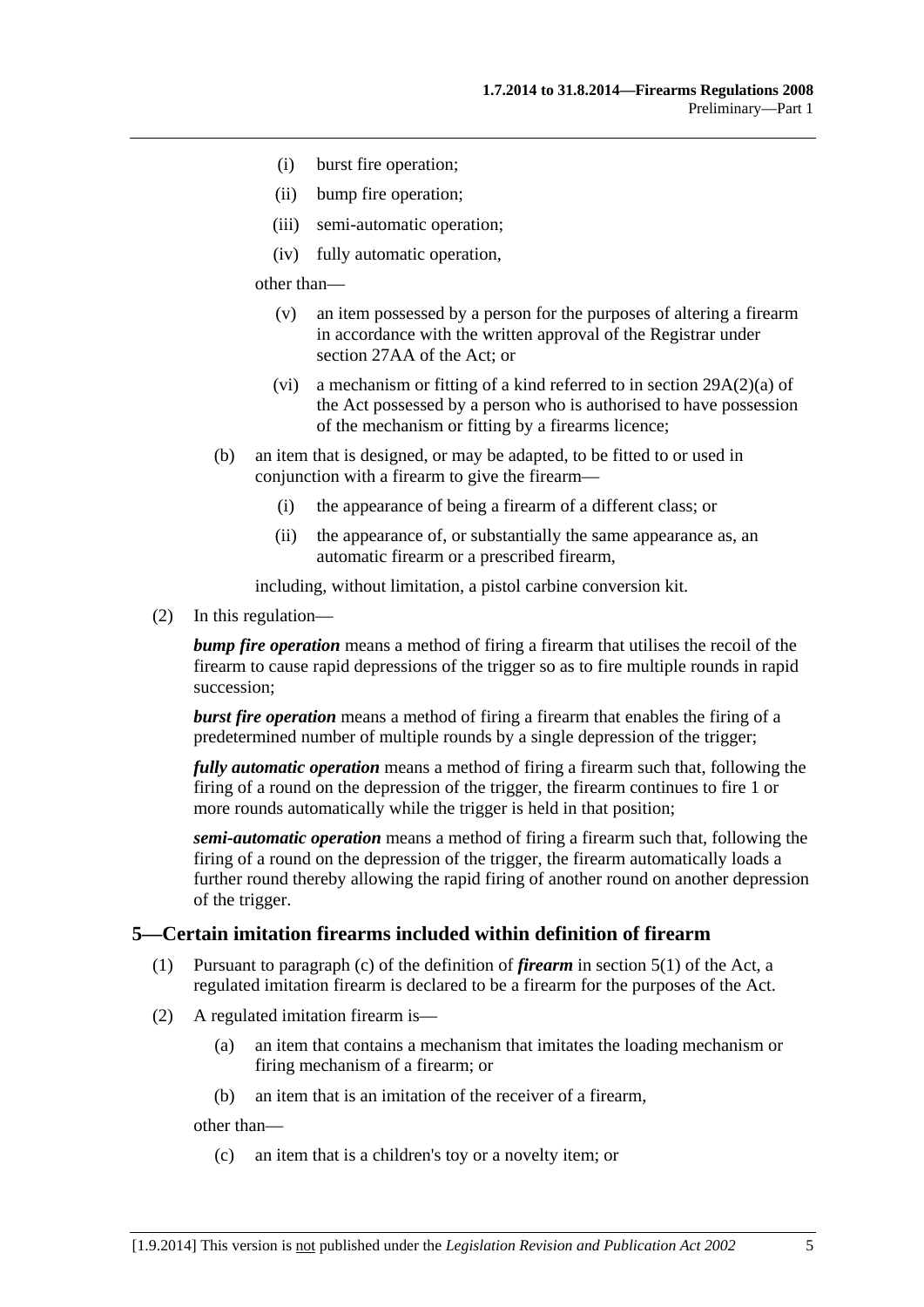- <span id="page-4-0"></span>(i) burst fire operation;
- (ii) bump fire operation;
- (iii) semi-automatic operation;
- (iv) fully automatic operation,

other than—

- (v) an item possessed by a person for the purposes of altering a firearm in accordance with the written approval of the Registrar under section 27AA of the Act; or
- (vi) a mechanism or fitting of a kind referred to in section 29A(2)(a) of the Act possessed by a person who is authorised to have possession of the mechanism or fitting by a firearms licence;
- (b) an item that is designed, or may be adapted, to be fitted to or used in conjunction with a firearm to give the firearm—
	- (i) the appearance of being a firearm of a different class; or
	- (ii) the appearance of, or substantially the same appearance as, an automatic firearm or a prescribed firearm,

including, without limitation, a pistol carbine conversion kit.

(2) In this regulation—

*bump fire operation* means a method of firing a firearm that utilises the recoil of the firearm to cause rapid depressions of the trigger so as to fire multiple rounds in rapid succession;

*burst fire operation* means a method of firing a firearm that enables the firing of a predetermined number of multiple rounds by a single depression of the trigger;

*fully automatic operation* means a method of firing a firearm such that, following the firing of a round on the depression of the trigger, the firearm continues to fire 1 or more rounds automatically while the trigger is held in that position;

*semi-automatic operation* means a method of firing a firearm such that, following the firing of a round on the depression of the trigger, the firearm automatically loads a further round thereby allowing the rapid firing of another round on another depression of the trigger.

### **5—Certain imitation firearms included within definition of firearm**

- (1) Pursuant to paragraph (c) of the definition of *firearm* in section 5(1) of the Act, a regulated imitation firearm is declared to be a firearm for the purposes of the Act.
- (2) A regulated imitation firearm is—
	- (a) an item that contains a mechanism that imitates the loading mechanism or firing mechanism of a firearm; or
	- (b) an item that is an imitation of the receiver of a firearm,

other than—

(c) an item that is a children's toy or a novelty item; or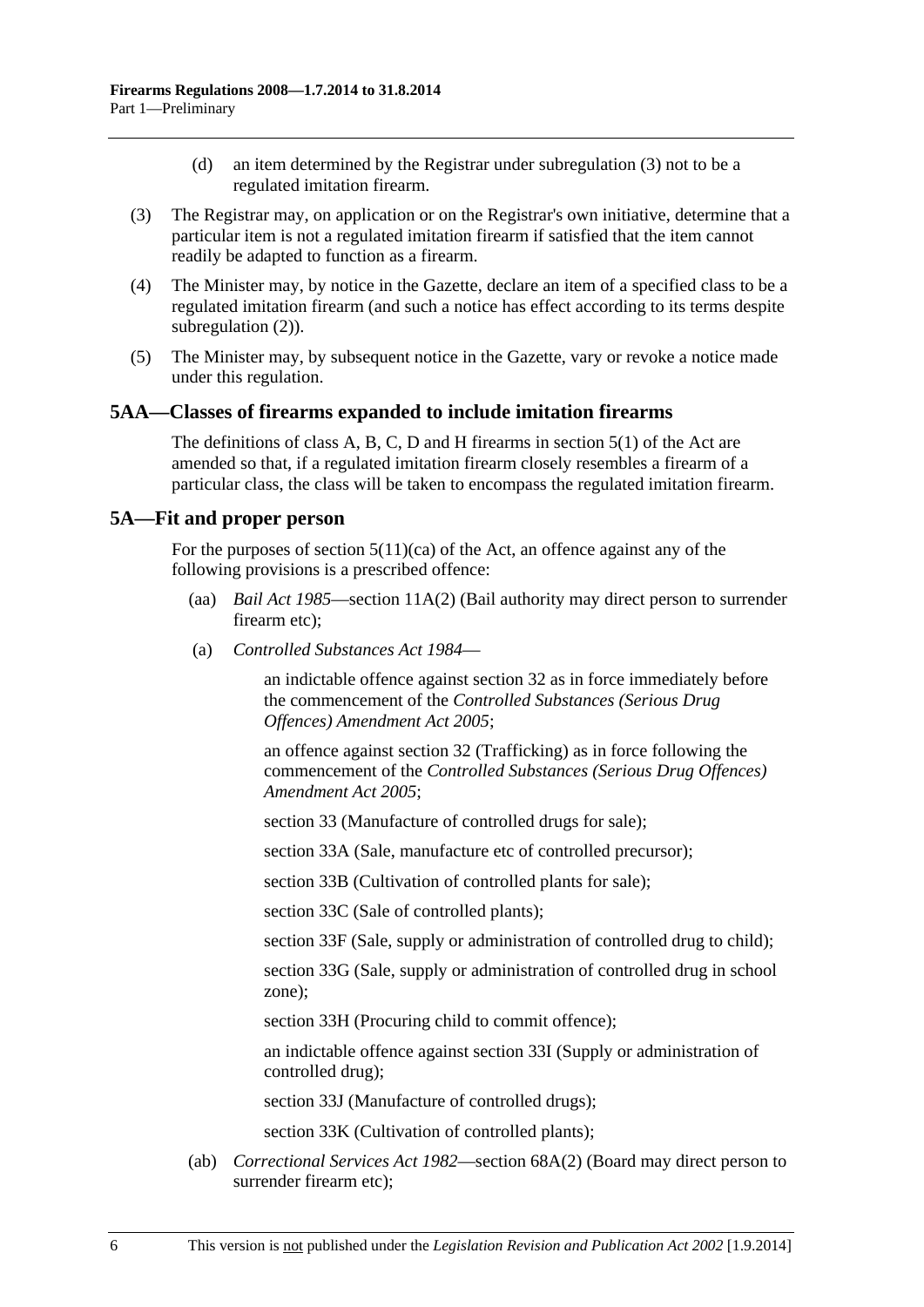- (d) an item determined by the Registrar under [subregulation \(3\)](#page-5-0) not to be a regulated imitation firearm.
- <span id="page-5-0"></span> (3) The Registrar may, on application or on the Registrar's own initiative, determine that a particular item is not a regulated imitation firearm if satisfied that the item cannot readily be adapted to function as a firearm.
- (4) The Minister may, by notice in the Gazette, declare an item of a specified class to be a regulated imitation firearm (and such a notice has effect according to its terms despite [subregulation \(2\)\)](#page-4-0).
- (5) The Minister may, by subsequent notice in the Gazette, vary or revoke a notice made under this regulation.

#### **5AA—Classes of firearms expanded to include imitation firearms**

The definitions of class A, B, C, D and H firearms in section 5(1) of the Act are amended so that, if a regulated imitation firearm closely resembles a firearm of a particular class, the class will be taken to encompass the regulated imitation firearm.

#### **5A—Fit and proper person**

For the purposes of section  $5(11)(ca)$  of the Act, an offence against any of the following provisions is a prescribed offence:

- (aa) *[Bail Act 1985](http://www.legislation.sa.gov.au/index.aspx?action=legref&type=act&legtitle=Bail%20Act%201985)*—section 11A(2) (Bail authority may direct person to surrender firearm etc);
- (a) *[Controlled Substances Act 1984](http://www.legislation.sa.gov.au/index.aspx?action=legref&type=act&legtitle=Controlled%20Substances%20Act%201984)*—

an indictable offence against section 32 as in force immediately before the commencement of the *[Controlled Substances \(Serious Drug](http://www.legislation.sa.gov.au/index.aspx?action=legref&type=act&legtitle=Controlled%20Substances%20(Serious%20Drug%20Offences)%20Amendment%20Act%202005)  [Offences\) Amendment Act 2005](http://www.legislation.sa.gov.au/index.aspx?action=legref&type=act&legtitle=Controlled%20Substances%20(Serious%20Drug%20Offences)%20Amendment%20Act%202005)*;

an offence against section 32 (Trafficking) as in force following the commencement of the *[Controlled Substances \(Serious Drug Offences\)](http://www.legislation.sa.gov.au/index.aspx?action=legref&type=act&legtitle=Controlled%20Substances%20(Serious%20Drug%20Offences)%20Amendment%20Act%202005)  [Amendment Act 2005](http://www.legislation.sa.gov.au/index.aspx?action=legref&type=act&legtitle=Controlled%20Substances%20(Serious%20Drug%20Offences)%20Amendment%20Act%202005)*;

section 33 (Manufacture of controlled drugs for sale);

section 33A (Sale, manufacture etc of controlled precursor);

section 33B (Cultivation of controlled plants for sale);

section 33C (Sale of controlled plants);

section 33F (Sale, supply or administration of controlled drug to child);

section 33G (Sale, supply or administration of controlled drug in school zone);

section 33H (Procuring child to commit offence);

an indictable offence against section 33I (Supply or administration of controlled drug);

section 33J (Manufacture of controlled drugs);

section 33K (Cultivation of controlled plants);

 (ab) *[Correctional Services Act 1982](http://www.legislation.sa.gov.au/index.aspx?action=legref&type=act&legtitle=Correctional%20Services%20Act%201982)*—section 68A(2) (Board may direct person to surrender firearm etc);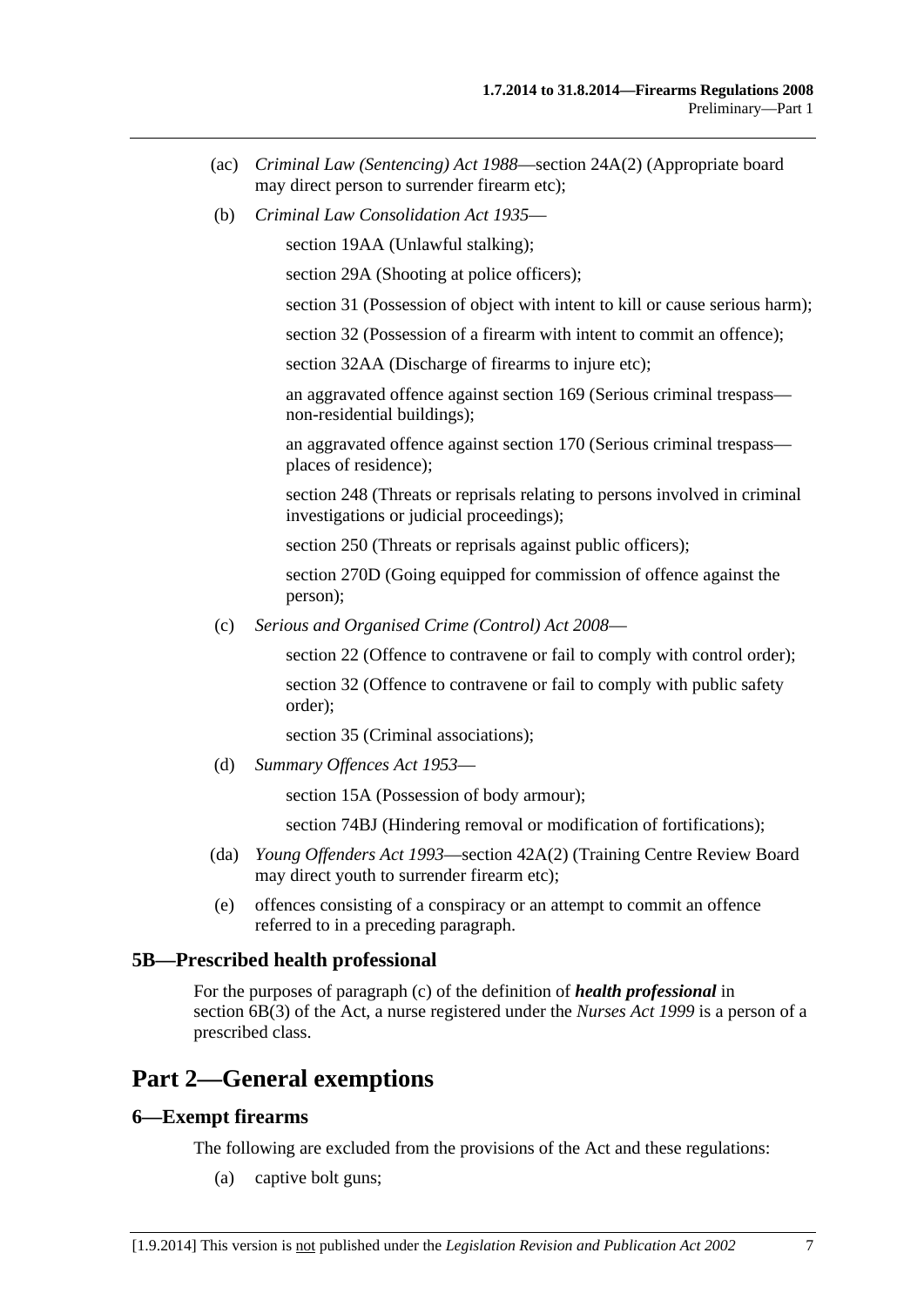- <span id="page-6-0"></span> (ac) *[Criminal Law \(Sentencing\) Act 1988](http://www.legislation.sa.gov.au/index.aspx?action=legref&type=act&legtitle=Criminal%20Law%20(Sentencing)%20Act%201988)*—section 24A(2) (Appropriate board may direct person to surrender firearm etc);
- (b) *[Criminal Law Consolidation Act 1935](http://www.legislation.sa.gov.au/index.aspx?action=legref&type=act&legtitle=Criminal%20Law%20Consolidation%20Act%201935)*—

section 19AA (Unlawful stalking);

section 29A (Shooting at police officers);

section 31 (Possession of object with intent to kill or cause serious harm);

section 32 (Possession of a firearm with intent to commit an offence);

section 32AA (Discharge of firearms to injure etc);

an aggravated offence against section 169 (Serious criminal trespass non-residential buildings);

an aggravated offence against section 170 (Serious criminal trespass places of residence);

section 248 (Threats or reprisals relating to persons involved in criminal investigations or judicial proceedings);

section 250 (Threats or reprisals against public officers);

section 270D (Going equipped for commission of offence against the person);

(c) *[Serious and Organised Crime \(Control\) Act 2008](http://www.legislation.sa.gov.au/index.aspx?action=legref&type=act&legtitle=Serious%20and%20Organised%20Crime%20(Control)%20Act%202008)*—

section 22 (Offence to contravene or fail to comply with control order);

section 32 (Offence to contravene or fail to comply with public safety order);

section 35 (Criminal associations);

(d) *[Summary Offences Act 1953](http://www.legislation.sa.gov.au/index.aspx?action=legref&type=act&legtitle=Summary%20Offences%20Act%201953)*—

section 15A (Possession of body armour);

section 74BJ (Hindering removal or modification of fortifications);

- (da) *[Young Offenders Act 1993](http://www.legislation.sa.gov.au/index.aspx?action=legref&type=act&legtitle=Young%20Offenders%20Act%201993)*—section 42A(2) (Training Centre Review Board may direct youth to surrender firearm etc);
- (e) offences consisting of a conspiracy or an attempt to commit an offence referred to in a preceding paragraph.

### **5B—Prescribed health professional**

For the purposes of paragraph (c) of the definition of *health professional* in section 6B(3) of the Act, a nurse registered under the *[Nurses Act 1999](http://www.legislation.sa.gov.au/index.aspx?action=legref&type=act&legtitle=Nurses%20Act%201999)* is a person of a prescribed class.

# **Part 2—General exemptions**

### **6—Exempt firearms**

The following are excluded from the provisions of the Act and these regulations:

(a) captive bolt guns;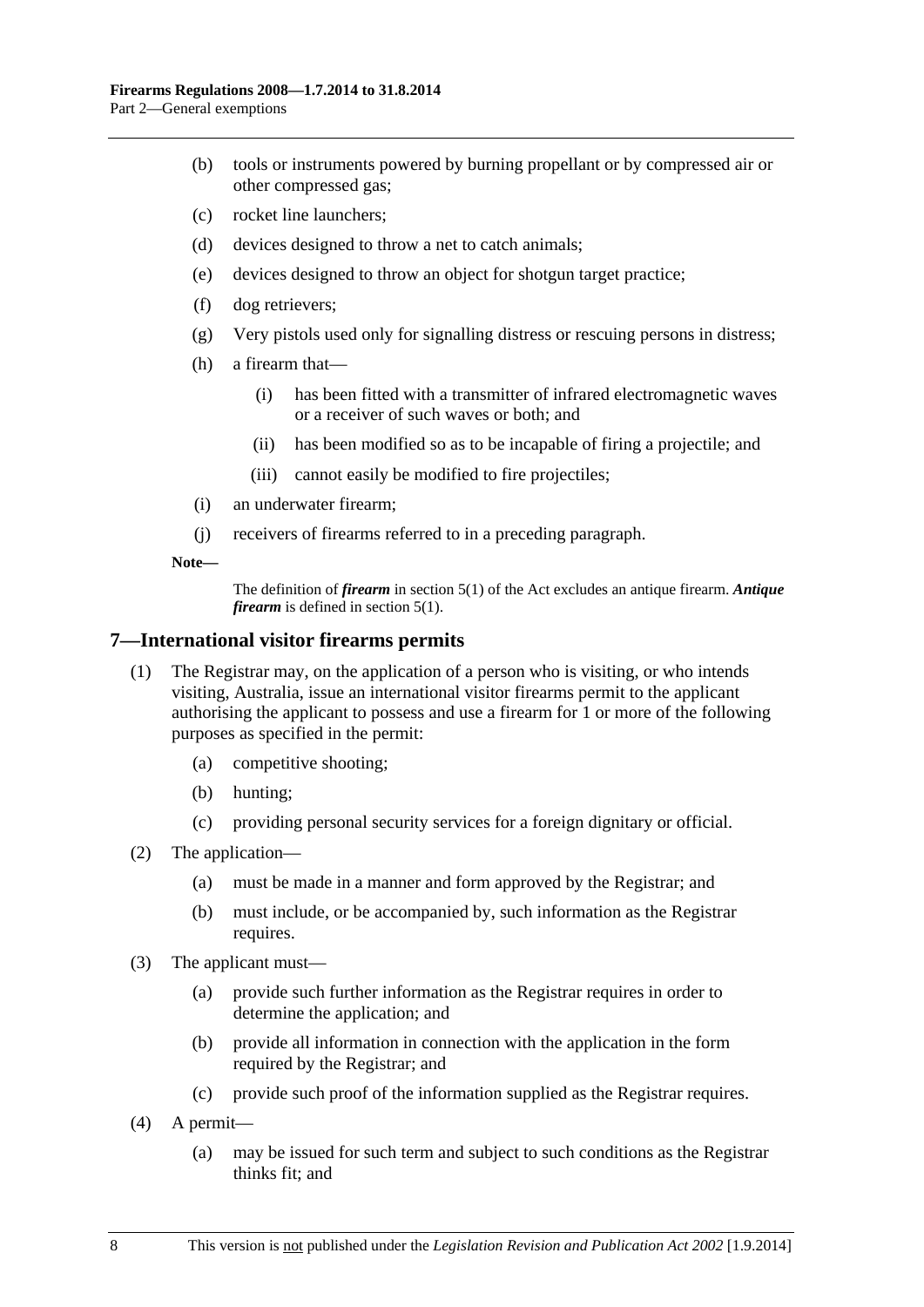- <span id="page-7-0"></span> (b) tools or instruments powered by burning propellant or by compressed air or other compressed gas;
- (c) rocket line launchers;
- (d) devices designed to throw a net to catch animals;
- (e) devices designed to throw an object for shotgun target practice;
- (f) dog retrievers;
- (g) Very pistols used only for signalling distress or rescuing persons in distress;
- (h) a firearm that—
	- (i) has been fitted with a transmitter of infrared electromagnetic waves or a receiver of such waves or both; and
	- (ii) has been modified so as to be incapable of firing a projectile; and
	- (iii) cannot easily be modified to fire projectiles;
- (i) an underwater firearm;
- (j) receivers of firearms referred to in a preceding paragraph.

**Note—** 

The definition of *firearm* in section 5(1) of the Act excludes an antique firearm. *Antique firearm* is defined in section 5(1).

### **7—International visitor firearms permits**

- (1) The Registrar may, on the application of a person who is visiting, or who intends visiting, Australia, issue an international visitor firearms permit to the applicant authorising the applicant to possess and use a firearm for 1 or more of the following purposes as specified in the permit:
	- (a) competitive shooting;
	- (b) hunting;
	- (c) providing personal security services for a foreign dignitary or official.
- (2) The application—
	- (a) must be made in a manner and form approved by the Registrar; and
	- (b) must include, or be accompanied by, such information as the Registrar requires.
- (3) The applicant must—
	- (a) provide such further information as the Registrar requires in order to determine the application; and
	- (b) provide all information in connection with the application in the form required by the Registrar; and
	- (c) provide such proof of the information supplied as the Registrar requires.
- (4) A permit—
	- (a) may be issued for such term and subject to such conditions as the Registrar thinks fit; and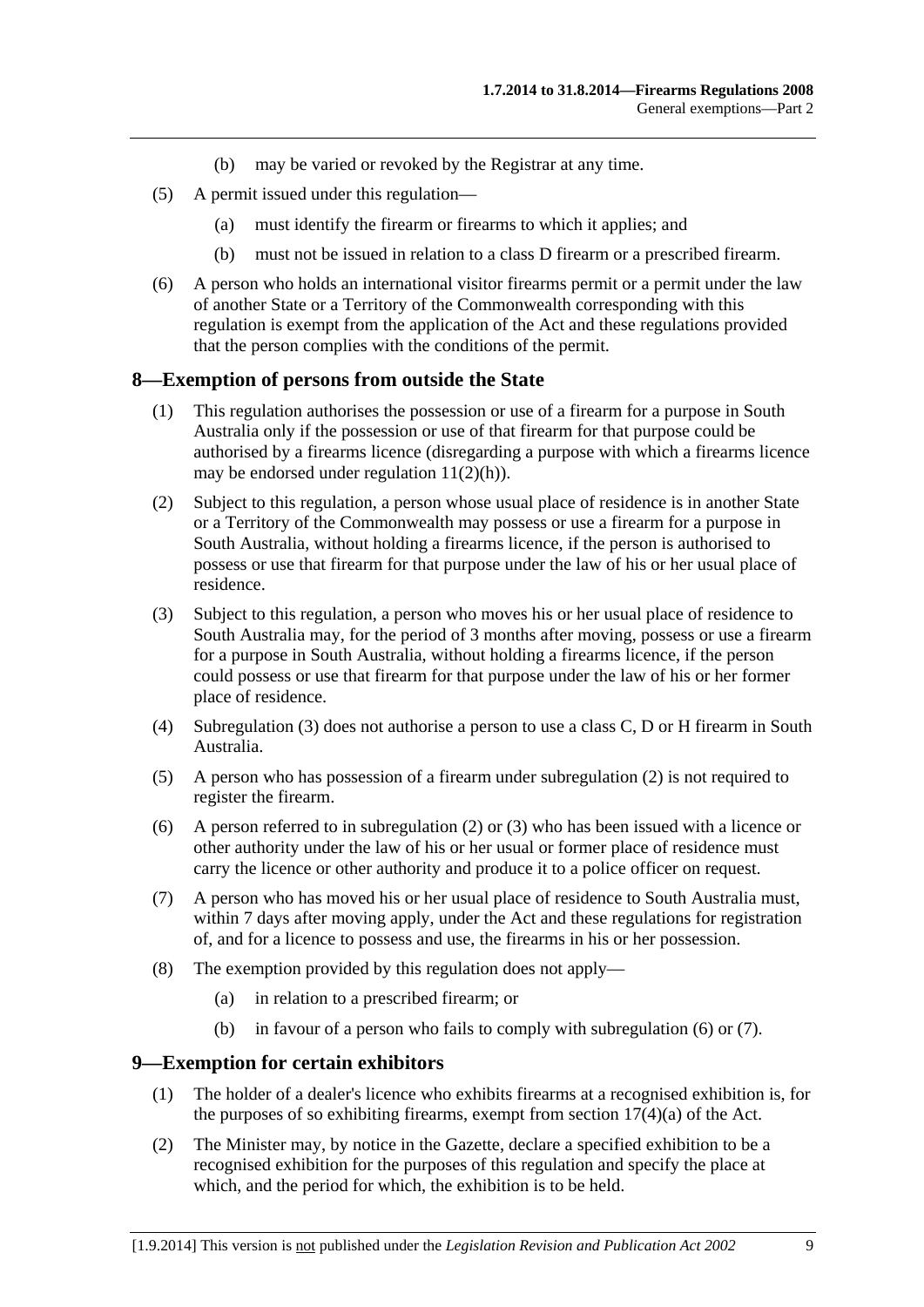- (b) may be varied or revoked by the Registrar at any time.
- <span id="page-8-0"></span> (5) A permit issued under this regulation—
	- (a) must identify the firearm or firearms to which it applies; and
	- (b) must not be issued in relation to a class D firearm or a prescribed firearm.
- (6) A person who holds an international visitor firearms permit or a permit under the law of another State or a Territory of the Commonwealth corresponding with this regulation is exempt from the application of the Act and these regulations provided that the person complies with the conditions of the permit.

### **8—Exemption of persons from outside the State**

- (1) This regulation authorises the possession or use of a firearm for a purpose in South Australia only if the possession or use of that firearm for that purpose could be authorised by a firearms licence (disregarding a purpose with which a firearms licence may be endorsed under regulation  $11(2)(h)$ ).
- (2) Subject to this regulation, a person whose usual place of residence is in another State or a Territory of the Commonwealth may possess or use a firearm for a purpose in South Australia, without holding a firearms licence, if the person is authorised to possess or use that firearm for that purpose under the law of his or her usual place of residence.
- (3) Subject to this regulation, a person who moves his or her usual place of residence to South Australia may, for the period of 3 months after moving, possess or use a firearm for a purpose in South Australia, without holding a firearms licence, if the person could possess or use that firearm for that purpose under the law of his or her former place of residence.
- (4) [Subregulation \(3\)](#page-8-0) does not authorise a person to use a class C, D or H firearm in South Australia.
- (5) A person who has possession of a firearm under [subregulation \(2\)](#page-8-0) is not required to register the firearm.
- (6) A person referred to in [subregulation \(2\)](#page-8-0) or [\(3\)](#page-8-0) who has been issued with a licence or other authority under the law of his or her usual or former place of residence must carry the licence or other authority and produce it to a police officer on request.
- (7) A person who has moved his or her usual place of residence to South Australia must, within 7 days after moving apply, under the Act and these regulations for registration of, and for a licence to possess and use, the firearms in his or her possession.
- (8) The exemption provided by this regulation does not apply—
	- (a) in relation to a prescribed firearm; or
	- (b) in favour of a person who fails to comply with [subregulation \(6\)](#page-8-0) or [\(7\).](#page-8-0)

### **9—Exemption for certain exhibitors**

- (1) The holder of a dealer's licence who exhibits firearms at a recognised exhibition is, for the purposes of so exhibiting firearms, exempt from section  $17(4)(a)$  of the Act.
- (2) The Minister may, by notice in the Gazette, declare a specified exhibition to be a recognised exhibition for the purposes of this regulation and specify the place at which, and the period for which, the exhibition is to be held.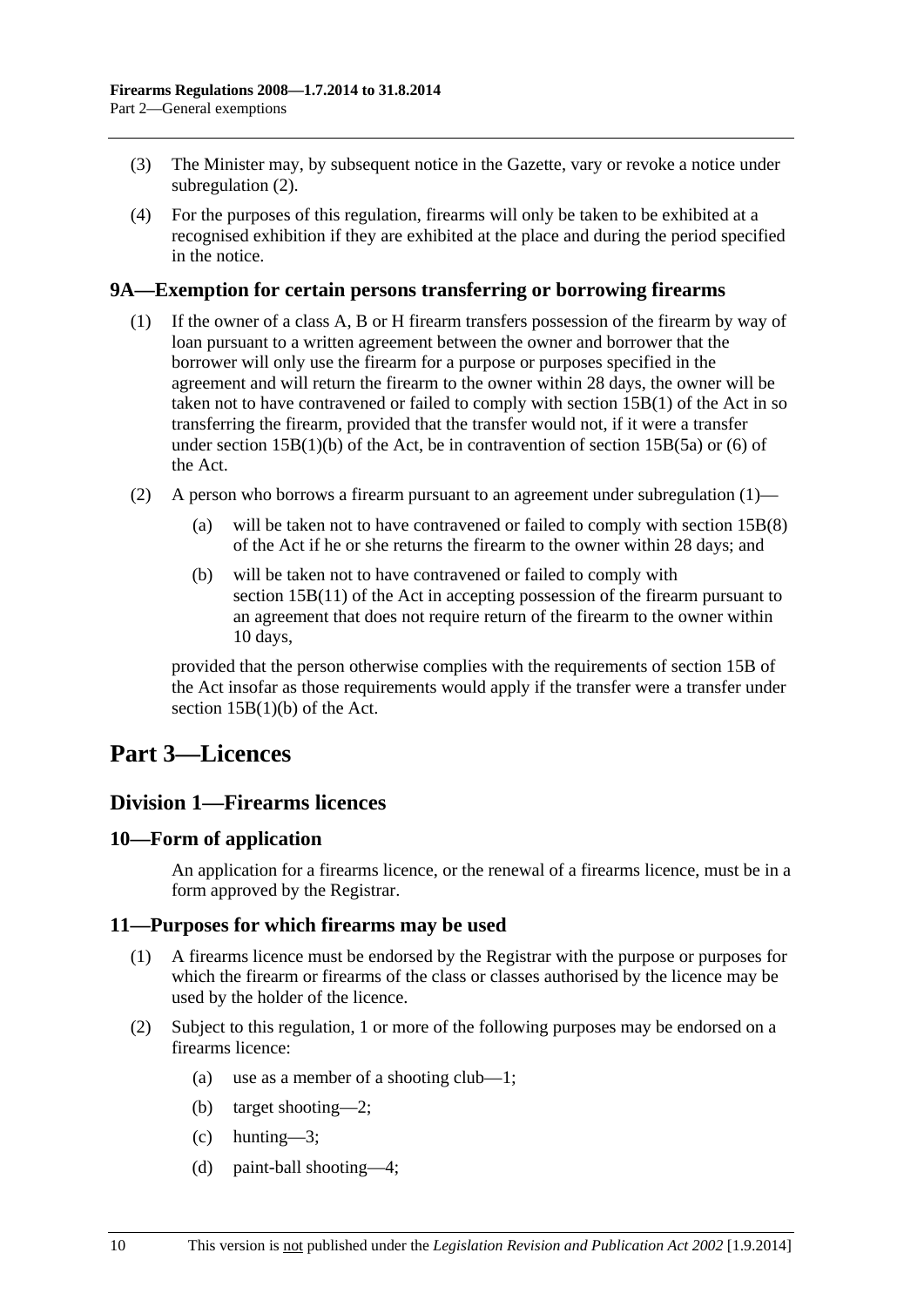- <span id="page-9-0"></span> (3) The Minister may, by subsequent notice in the Gazette, vary or revoke a notice under [subregulation \(2\).](#page-8-0)
- (4) For the purposes of this regulation, firearms will only be taken to be exhibited at a recognised exhibition if they are exhibited at the place and during the period specified in the notice.

## **9A—Exemption for certain persons transferring or borrowing firearms**

- (1) If the owner of a class A, B or H firearm transfers possession of the firearm by way of loan pursuant to a written agreement between the owner and borrower that the borrower will only use the firearm for a purpose or purposes specified in the agreement and will return the firearm to the owner within 28 days, the owner will be taken not to have contravened or failed to comply with section 15B(1) of the Act in so transferring the firearm, provided that the transfer would not, if it were a transfer under section  $15B(1)(b)$  of the Act, be in contravention of section  $15B(5a)$  or (6) of the Act.
- (2) A person who borrows a firearm pursuant to an agreement under [subregulation \(1\)](#page-9-0)
	- (a) will be taken not to have contravened or failed to comply with section 15B(8) of the Act if he or she returns the firearm to the owner within 28 days; and
	- (b) will be taken not to have contravened or failed to comply with section 15B(11) of the Act in accepting possession of the firearm pursuant to an agreement that does not require return of the firearm to the owner within 10 days,

provided that the person otherwise complies with the requirements of section 15B of the Act insofar as those requirements would apply if the transfer were a transfer under section 15B(1)(b) of the Act.

# **Part 3—Licences**

# **Division 1—Firearms licences**

### **10—Form of application**

An application for a firearms licence, or the renewal of a firearms licence, must be in a form approved by the Registrar.

### **11—Purposes for which firearms may be used**

- (1) A firearms licence must be endorsed by the Registrar with the purpose or purposes for which the firearm or firearms of the class or classes authorised by the licence may be used by the holder of the licence.
- (2) Subject to this regulation, 1 or more of the following purposes may be endorsed on a firearms licence<sup>.</sup>
	- (a) use as a member of a shooting club—1;
	- (b) target shooting—2;
	- $(c)$  hunting—3;
	- (d) paint-ball shooting—4;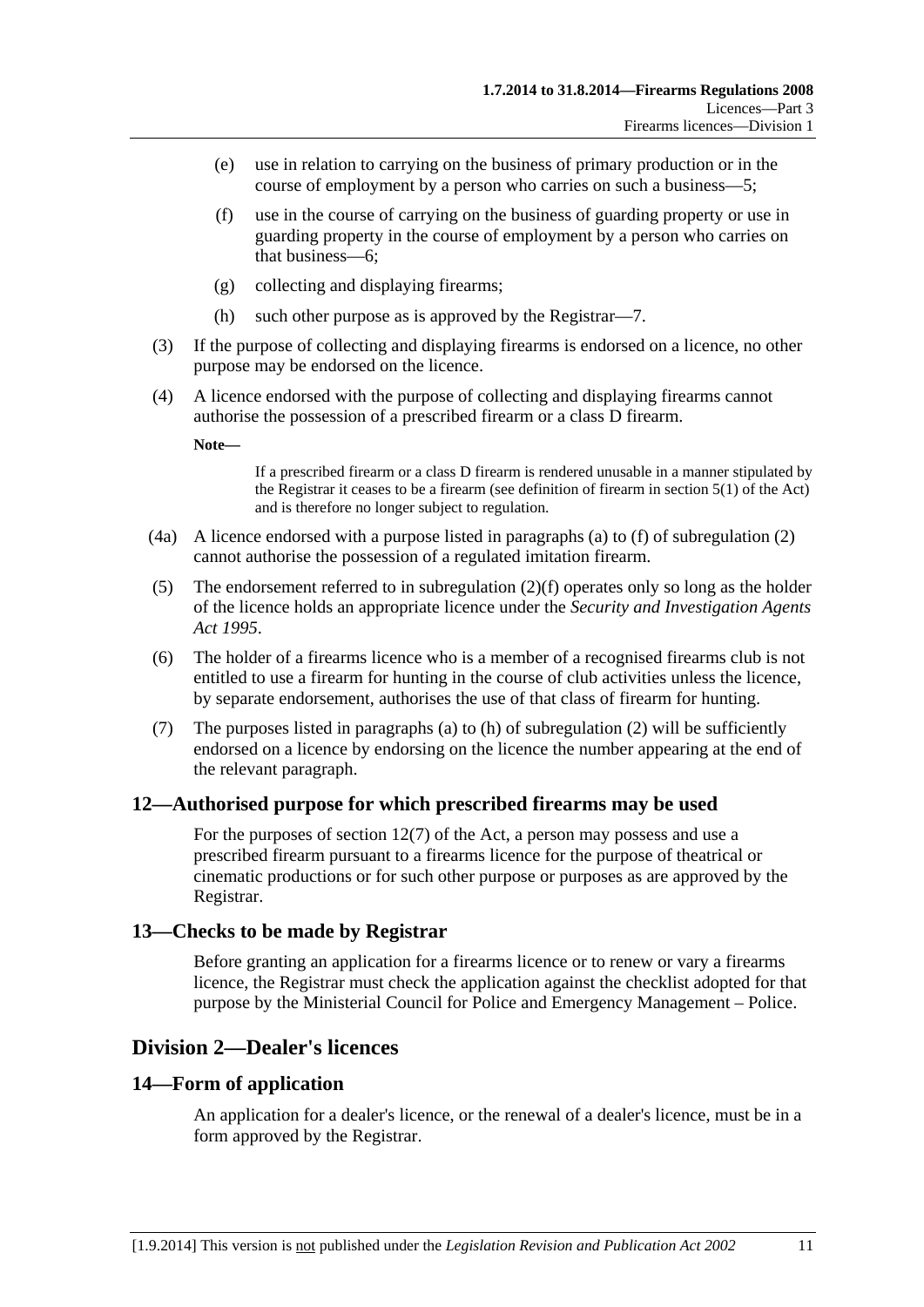- <span id="page-10-0"></span> (e) use in relation to carrying on the business of primary production or in the course of employment by a person who carries on such a business—5;
- (f) use in the course of carrying on the business of guarding property or use in guarding property in the course of employment by a person who carries on that business—6;
- (g) collecting and displaying firearms;
- (h) such other purpose as is approved by the Registrar—7.
- (3) If the purpose of collecting and displaying firearms is endorsed on a licence, no other purpose may be endorsed on the licence.
- (4) A licence endorsed with the purpose of collecting and displaying firearms cannot authorise the possession of a prescribed firearm or a class D firearm.

**Note—** 

If a prescribed firearm or a class D firearm is rendered unusable in a manner stipulated by the Registrar it ceases to be a firearm (see definition of firearm in section 5(1) of the Act) and is therefore no longer subject to regulation.

- (4a) A licence endorsed with a purpose listed in paragraphs [\(a\)](#page-9-0) to [\(f\)](#page-10-0) of [subregulation \(2\)](#page-9-0)  cannot authorise the possession of a regulated imitation firearm.
- (5) The endorsement referred to in [subregulation \(2\)\(f\)](#page-10-0) operates only so long as the holder of the licence holds an appropriate licence under the *[Security and Investigation Agents](http://www.legislation.sa.gov.au/index.aspx?action=legref&type=act&legtitle=Security%20and%20Investigation%20Agents%20Act%201995)  [Act 1995](http://www.legislation.sa.gov.au/index.aspx?action=legref&type=act&legtitle=Security%20and%20Investigation%20Agents%20Act%201995)*.
- (6) The holder of a firearms licence who is a member of a recognised firearms club is not entitled to use a firearm for hunting in the course of club activities unless the licence, by separate endorsement, authorises the use of that class of firearm for hunting.
- (7) The purposes listed in [paragraphs \(a\)](#page-9-0) to [\(h\)](#page-10-0) of [subregulation \(2\)](#page-9-0) will be sufficiently endorsed on a licence by endorsing on the licence the number appearing at the end of the relevant paragraph.

# **12—Authorised purpose for which prescribed firearms may be used**

For the purposes of section 12(7) of the Act, a person may possess and use a prescribed firearm pursuant to a firearms licence for the purpose of theatrical or cinematic productions or for such other purpose or purposes as are approved by the Registrar.

# **13—Checks to be made by Registrar**

Before granting an application for a firearms licence or to renew or vary a firearms licence, the Registrar must check the application against the checklist adopted for that purpose by the Ministerial Council for Police and Emergency Management – Police.

# **Division 2—Dealer's licences**

# **14—Form of application**

An application for a dealer's licence, or the renewal of a dealer's licence, must be in a form approved by the Registrar.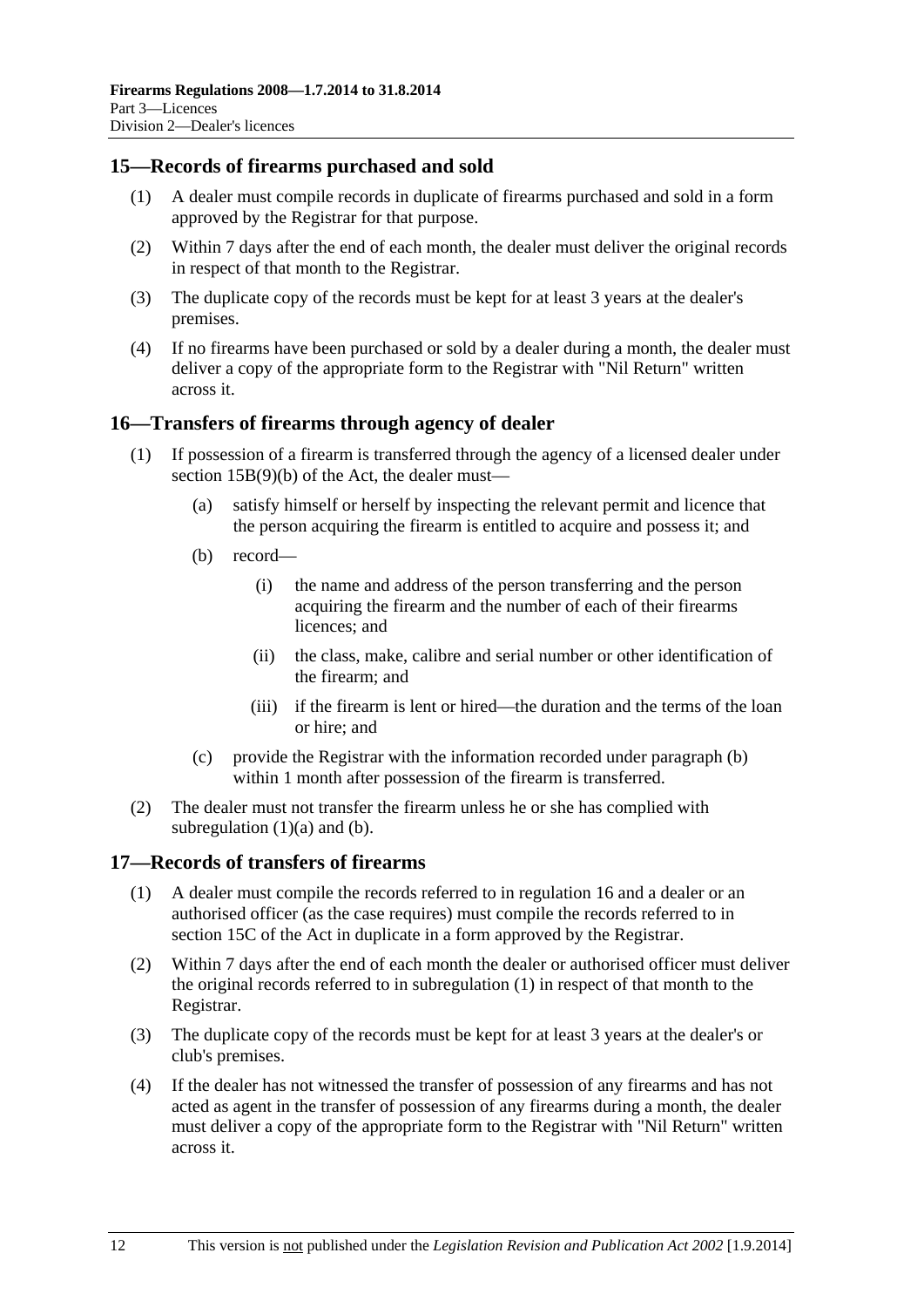## <span id="page-11-0"></span>**15—Records of firearms purchased and sold**

- (1) A dealer must compile records in duplicate of firearms purchased and sold in a form approved by the Registrar for that purpose.
- (2) Within 7 days after the end of each month, the dealer must deliver the original records in respect of that month to the Registrar.
- (3) The duplicate copy of the records must be kept for at least 3 years at the dealer's premises.
- (4) If no firearms have been purchased or sold by a dealer during a month, the dealer must deliver a copy of the appropriate form to the Registrar with "Nil Return" written across it.

## **16—Transfers of firearms through agency of dealer**

- (1) If possession of a firearm is transferred through the agency of a licensed dealer under section 15B(9)(b) of the Act, the dealer must—
	- (a) satisfy himself or herself by inspecting the relevant permit and licence that the person acquiring the firearm is entitled to acquire and possess it; and
	- (b) record—
		- (i) the name and address of the person transferring and the person acquiring the firearm and the number of each of their firearms licences; and
		- (ii) the class, make, calibre and serial number or other identification of the firearm; and
		- (iii) if the firearm is lent or hired—the duration and the terms of the loan or hire; and
	- (c) provide the Registrar with the information recorded under [paragraph \(b\)](#page-11-0) within 1 month after possession of the firearm is transferred.
- (2) The dealer must not transfer the firearm unless he or she has complied with subregulation  $(1)(a)$  and  $(b)$ .

### **17—Records of transfers of firearms**

- (1) A dealer must compile the records referred to in [regulation 16](#page-11-0) and a dealer or an authorised officer (as the case requires) must compile the records referred to in section 15C of the Act in duplicate in a form approved by the Registrar.
- (2) Within 7 days after the end of each month the dealer or authorised officer must deliver the original records referred to in [subregulation \(1\)](#page-11-0) in respect of that month to the Registrar.
- (3) The duplicate copy of the records must be kept for at least 3 years at the dealer's or club's premises.
- (4) If the dealer has not witnessed the transfer of possession of any firearms and has not acted as agent in the transfer of possession of any firearms during a month, the dealer must deliver a copy of the appropriate form to the Registrar with "Nil Return" written across it.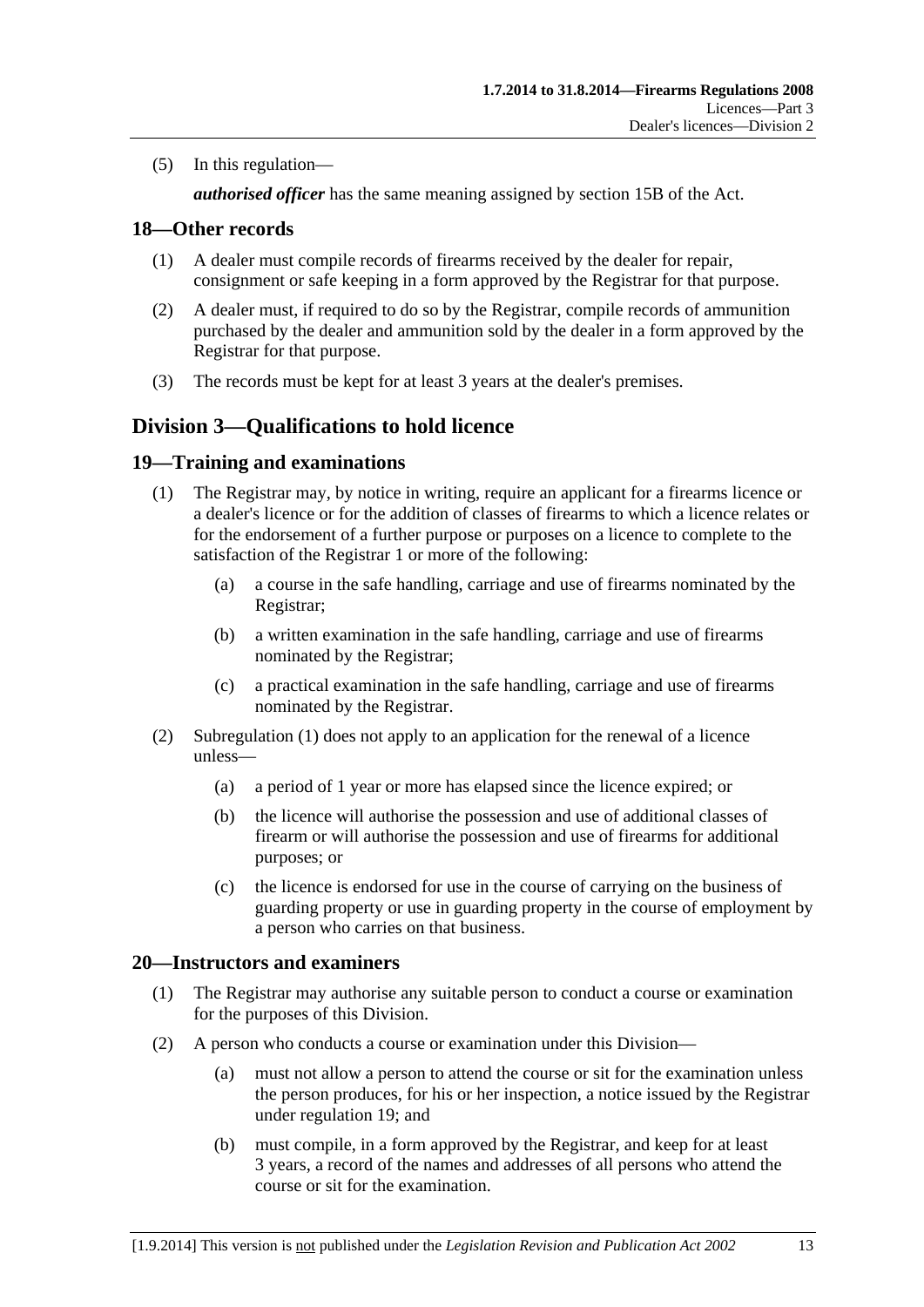<span id="page-12-0"></span>(5) In this regulation—

*authorised officer* has the same meaning assigned by section 15B of the Act.

## **18—Other records**

- (1) A dealer must compile records of firearms received by the dealer for repair, consignment or safe keeping in a form approved by the Registrar for that purpose.
- (2) A dealer must, if required to do so by the Registrar, compile records of ammunition purchased by the dealer and ammunition sold by the dealer in a form approved by the Registrar for that purpose.
- (3) The records must be kept for at least 3 years at the dealer's premises.

# **Division 3—Qualifications to hold licence**

## **19—Training and examinations**

- (1) The Registrar may, by notice in writing, require an applicant for a firearms licence or a dealer's licence or for the addition of classes of firearms to which a licence relates or for the endorsement of a further purpose or purposes on a licence to complete to the satisfaction of the Registrar 1 or more of the following:
	- (a) a course in the safe handling, carriage and use of firearms nominated by the Registrar;
	- (b) a written examination in the safe handling, carriage and use of firearms nominated by the Registrar;
	- (c) a practical examination in the safe handling, carriage and use of firearms nominated by the Registrar.
- (2) [Subregulation \(1\)](#page-12-0) does not apply to an application for the renewal of a licence unless—
	- (a) a period of 1 year or more has elapsed since the licence expired; or
	- (b) the licence will authorise the possession and use of additional classes of firearm or will authorise the possession and use of firearms for additional purposes; or
	- (c) the licence is endorsed for use in the course of carrying on the business of guarding property or use in guarding property in the course of employment by a person who carries on that business.

# **20—Instructors and examiners**

- (1) The Registrar may authorise any suitable person to conduct a course or examination for the purposes of this Division.
- (2) A person who conducts a course or examination under this Division—
	- (a) must not allow a person to attend the course or sit for the examination unless the person produces, for his or her inspection, a notice issued by the Registrar under [regulation 19;](#page-12-0) and
	- (b) must compile, in a form approved by the Registrar, and keep for at least 3 years, a record of the names and addresses of all persons who attend the course or sit for the examination.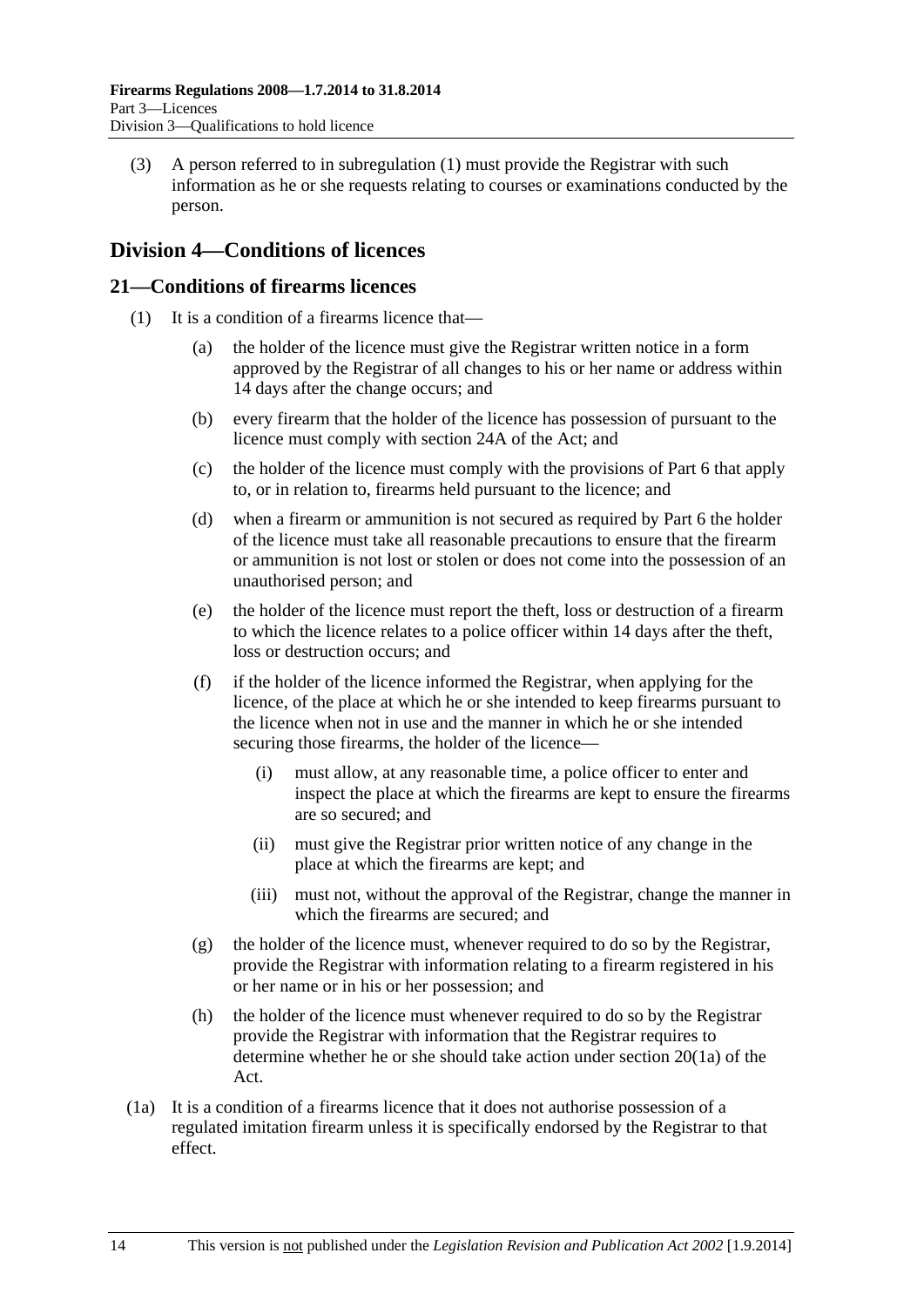<span id="page-13-0"></span> (3) A person referred to in [subregulation \(1\)](#page-12-0) must provide the Registrar with such information as he or she requests relating to courses or examinations conducted by the person.

# **Division 4—Conditions of licences**

## **21—Conditions of firearms licences**

- (1) It is a condition of a firearms licence that—
	- (a) the holder of the licence must give the Registrar written notice in a form approved by the Registrar of all changes to his or her name or address within 14 days after the change occurs; and
	- (b) every firearm that the holder of the licence has possession of pursuant to the licence must comply with section 24A of the Act; and
	- (c) the holder of the licence must comply with the provisions of [Part 6](#page-22-0) that apply to, or in relation to, firearms held pursuant to the licence; and
	- (d) when a firearm or ammunition is not secured as required by [Part 6](#page-22-0) the holder of the licence must take all reasonable precautions to ensure that the firearm or ammunition is not lost or stolen or does not come into the possession of an unauthorised person; and
	- (e) the holder of the licence must report the theft, loss or destruction of a firearm to which the licence relates to a police officer within 14 days after the theft, loss or destruction occurs; and
	- (f) if the holder of the licence informed the Registrar, when applying for the licence, of the place at which he or she intended to keep firearms pursuant to the licence when not in use and the manner in which he or she intended securing those firearms, the holder of the licence—
		- (i) must allow, at any reasonable time, a police officer to enter and inspect the place at which the firearms are kept to ensure the firearms are so secured; and
		- (ii) must give the Registrar prior written notice of any change in the place at which the firearms are kept; and
		- (iii) must not, without the approval of the Registrar, change the manner in which the firearms are secured; and
	- (g) the holder of the licence must, whenever required to do so by the Registrar, provide the Registrar with information relating to a firearm registered in his or her name or in his or her possession; and
	- (h) the holder of the licence must whenever required to do so by the Registrar provide the Registrar with information that the Registrar requires to determine whether he or she should take action under section 20(1a) of the Act.
- (1a) It is a condition of a firearms licence that it does not authorise possession of a regulated imitation firearm unless it is specifically endorsed by the Registrar to that effect.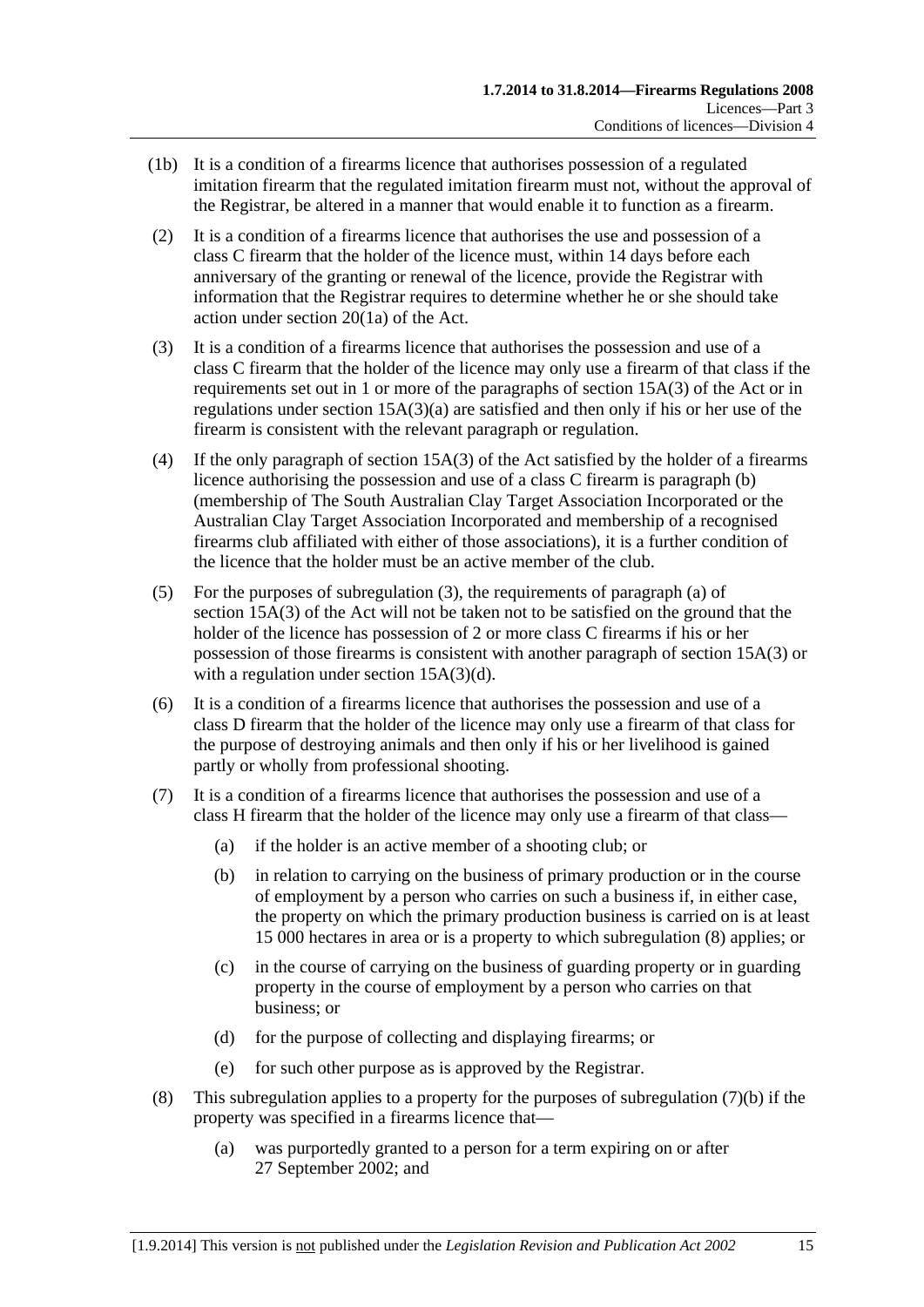- <span id="page-14-0"></span> (1b) It is a condition of a firearms licence that authorises possession of a regulated imitation firearm that the regulated imitation firearm must not, without the approval of the Registrar, be altered in a manner that would enable it to function as a firearm.
- (2) It is a condition of a firearms licence that authorises the use and possession of a class C firearm that the holder of the licence must, within 14 days before each anniversary of the granting or renewal of the licence, provide the Registrar with information that the Registrar requires to determine whether he or she should take action under section 20(1a) of the Act.
- (3) It is a condition of a firearms licence that authorises the possession and use of a class C firearm that the holder of the licence may only use a firearm of that class if the requirements set out in 1 or more of the paragraphs of section 15A(3) of the Act or in regulations under section  $15A(3)(a)$  are satisfied and then only if his or her use of the firearm is consistent with the relevant paragraph or regulation.
- (4) If the only paragraph of section 15A(3) of the Act satisfied by the holder of a firearms licence authorising the possession and use of a class C firearm is paragraph (b) (membership of The South Australian Clay Target Association Incorporated or the Australian Clay Target Association Incorporated and membership of a recognised firearms club affiliated with either of those associations), it is a further condition of the licence that the holder must be an active member of the club.
- (5) For the purposes of [subregulation \(3\),](#page-14-0) the requirements of paragraph (a) of section 15A(3) of the Act will not be taken not to be satisfied on the ground that the holder of the licence has possession of 2 or more class C firearms if his or her possession of those firearms is consistent with another paragraph of section 15A(3) or with a regulation under section 15A(3)(d).
- (6) It is a condition of a firearms licence that authorises the possession and use of a class D firearm that the holder of the licence may only use a firearm of that class for the purpose of destroying animals and then only if his or her livelihood is gained partly or wholly from professional shooting.
- (7) It is a condition of a firearms licence that authorises the possession and use of a class H firearm that the holder of the licence may only use a firearm of that class—
	- (a) if the holder is an active member of a shooting club; or
	- (b) in relation to carrying on the business of primary production or in the course of employment by a person who carries on such a business if, in either case, the property on which the primary production business is carried on is at least 15 000 hectares in area or is a property to which [subregulation \(8\)](#page-14-0) applies; or
	- (c) in the course of carrying on the business of guarding property or in guarding property in the course of employment by a person who carries on that business; or
	- (d) for the purpose of collecting and displaying firearms; or
	- (e) for such other purpose as is approved by the Registrar.
- (8) This subregulation applies to a property for the purposes of subregulation  $(7)(b)$  if the property was specified in a firearms licence that—
	- (a) was purportedly granted to a person for a term expiring on or after 27 September 2002; and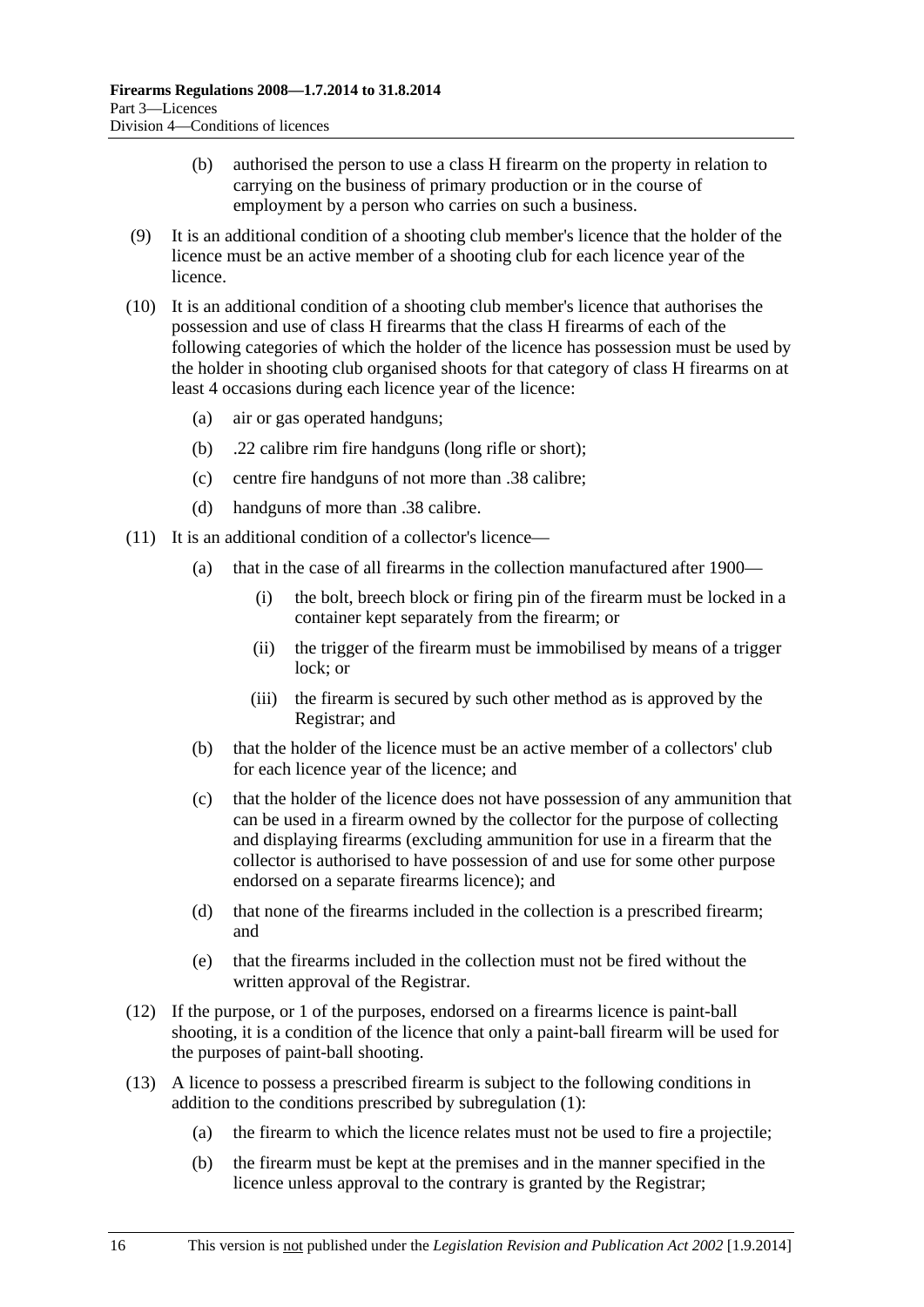- (b) authorised the person to use a class H firearm on the property in relation to carrying on the business of primary production or in the course of employment by a person who carries on such a business.
- (9) It is an additional condition of a shooting club member's licence that the holder of the licence must be an active member of a shooting club for each licence year of the licence.
- (10) It is an additional condition of a shooting club member's licence that authorises the possession and use of class H firearms that the class H firearms of each of the following categories of which the holder of the licence has possession must be used by the holder in shooting club organised shoots for that category of class H firearms on at least 4 occasions during each licence year of the licence:
	- (a) air or gas operated handguns;
	- (b) .22 calibre rim fire handguns (long rifle or short);
	- (c) centre fire handguns of not more than .38 calibre;
	- (d) handguns of more than .38 calibre.
- (11) It is an additional condition of a collector's licence—
	- (a) that in the case of all firearms in the collection manufactured after 1900—
		- (i) the bolt, breech block or firing pin of the firearm must be locked in a container kept separately from the firearm; or
		- (ii) the trigger of the firearm must be immobilised by means of a trigger lock; or
		- (iii) the firearm is secured by such other method as is approved by the Registrar; and
	- (b) that the holder of the licence must be an active member of a collectors' club for each licence year of the licence; and
	- (c) that the holder of the licence does not have possession of any ammunition that can be used in a firearm owned by the collector for the purpose of collecting and displaying firearms (excluding ammunition for use in a firearm that the collector is authorised to have possession of and use for some other purpose endorsed on a separate firearms licence); and
	- (d) that none of the firearms included in the collection is a prescribed firearm; and
	- (e) that the firearms included in the collection must not be fired without the written approval of the Registrar.
- (12) If the purpose, or 1 of the purposes, endorsed on a firearms licence is paint-ball shooting, it is a condition of the licence that only a paint-ball firearm will be used for the purposes of paint-ball shooting.
- (13) A licence to possess a prescribed firearm is subject to the following conditions in addition to the conditions prescribed by [subregulation \(1\):](#page-13-0)
	- (a) the firearm to which the licence relates must not be used to fire a projectile;
	- (b) the firearm must be kept at the premises and in the manner specified in the licence unless approval to the contrary is granted by the Registrar;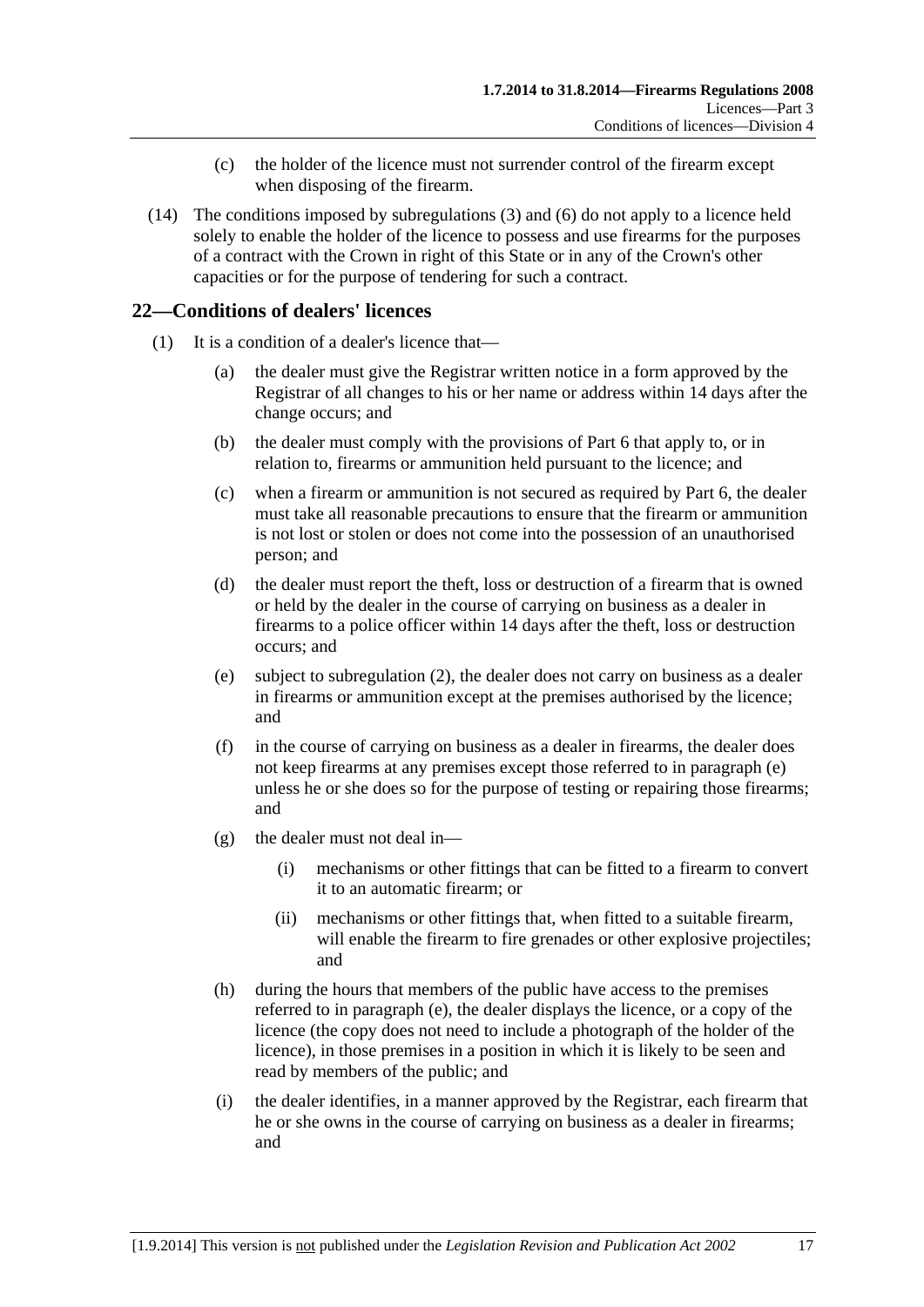- (c) the holder of the licence must not surrender control of the firearm except when disposing of the firearm.
- <span id="page-16-0"></span> (14) The conditions imposed by [subregulations \(3\)](#page-14-0) and [\(6\)](#page-14-0) do not apply to a licence held solely to enable the holder of the licence to possess and use firearms for the purposes of a contract with the Crown in right of this State or in any of the Crown's other capacities or for the purpose of tendering for such a contract.

# **22—Conditions of dealers' licences**

- (1) It is a condition of a dealer's licence that—
	- (a) the dealer must give the Registrar written notice in a form approved by the Registrar of all changes to his or her name or address within 14 days after the change occurs; and
	- (b) the dealer must comply with the provisions of [Part 6](#page-22-0) that apply to, or in relation to, firearms or ammunition held pursuant to the licence; and
	- (c) when a firearm or ammunition is not secured as required by [Part 6](#page-22-0), the dealer must take all reasonable precautions to ensure that the firearm or ammunition is not lost or stolen or does not come into the possession of an unauthorised person; and
	- (d) the dealer must report the theft, loss or destruction of a firearm that is owned or held by the dealer in the course of carrying on business as a dealer in firearms to a police officer within 14 days after the theft, loss or destruction occurs; and
	- (e) subject to [subregulation \(2\),](#page-17-0) the dealer does not carry on business as a dealer in firearms or ammunition except at the premises authorised by the licence; and
	- (f) in the course of carrying on business as a dealer in firearms, the dealer does not keep firearms at any premises except those referred to in [paragraph \(e\)](#page-16-0)  unless he or she does so for the purpose of testing or repairing those firearms; and
	- (g) the dealer must not deal in—
		- (i) mechanisms or other fittings that can be fitted to a firearm to convert it to an automatic firearm; or
		- (ii) mechanisms or other fittings that, when fitted to a suitable firearm, will enable the firearm to fire grenades or other explosive projectiles; and
	- (h) during the hours that members of the public have access to the premises referred to in [paragraph \(e\),](#page-16-0) the dealer displays the licence, or a copy of the licence (the copy does not need to include a photograph of the holder of the licence), in those premises in a position in which it is likely to be seen and read by members of the public; and
	- (i) the dealer identifies, in a manner approved by the Registrar, each firearm that he or she owns in the course of carrying on business as a dealer in firearms; and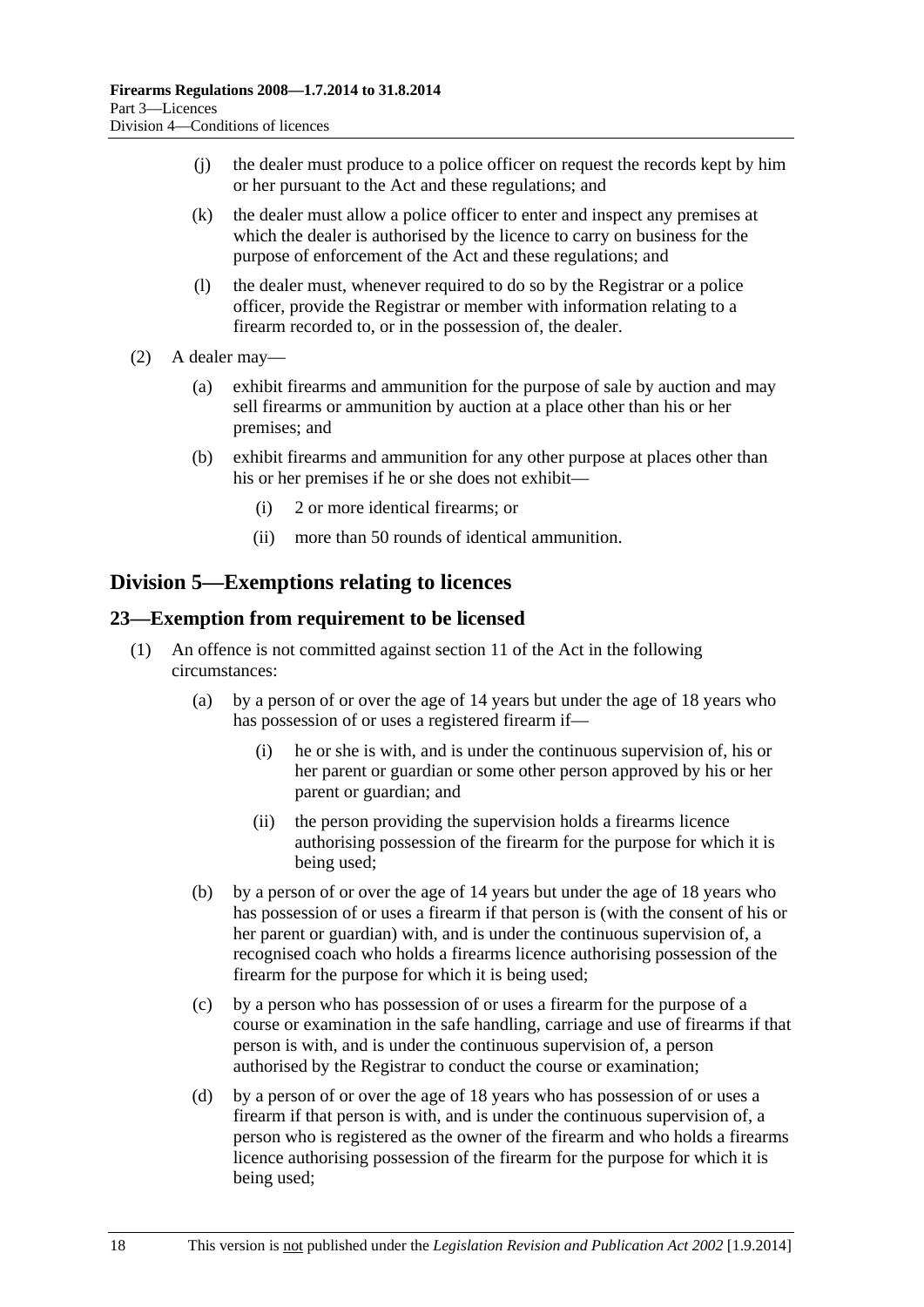- <span id="page-17-0"></span> (j) the dealer must produce to a police officer on request the records kept by him or her pursuant to the Act and these regulations; and
- (k) the dealer must allow a police officer to enter and inspect any premises at which the dealer is authorised by the licence to carry on business for the purpose of enforcement of the Act and these regulations; and
- (l) the dealer must, whenever required to do so by the Registrar or a police officer, provide the Registrar or member with information relating to a firearm recorded to, or in the possession of, the dealer.
- (2) A dealer may—
	- (a) exhibit firearms and ammunition for the purpose of sale by auction and may sell firearms or ammunition by auction at a place other than his or her premises; and
	- (b) exhibit firearms and ammunition for any other purpose at places other than his or her premises if he or she does not exhibit—
		- (i) 2 or more identical firearms; or
		- (ii) more than 50 rounds of identical ammunition.

# **Division 5—Exemptions relating to licences**

## **23—Exemption from requirement to be licensed**

- (1) An offence is not committed against section 11 of the Act in the following circumstances:
	- (a) by a person of or over the age of 14 years but under the age of 18 years who has possession of or uses a registered firearm if—
		- (i) he or she is with, and is under the continuous supervision of, his or her parent or guardian or some other person approved by his or her parent or guardian; and
		- (ii) the person providing the supervision holds a firearms licence authorising possession of the firearm for the purpose for which it is being used;
	- (b) by a person of or over the age of 14 years but under the age of 18 years who has possession of or uses a firearm if that person is (with the consent of his or her parent or guardian) with, and is under the continuous supervision of, a recognised coach who holds a firearms licence authorising possession of the firearm for the purpose for which it is being used;
	- (c) by a person who has possession of or uses a firearm for the purpose of a course or examination in the safe handling, carriage and use of firearms if that person is with, and is under the continuous supervision of, a person authorised by the Registrar to conduct the course or examination;
	- (d) by a person of or over the age of 18 years who has possession of or uses a firearm if that person is with, and is under the continuous supervision of, a person who is registered as the owner of the firearm and who holds a firearms licence authorising possession of the firearm for the purpose for which it is being used;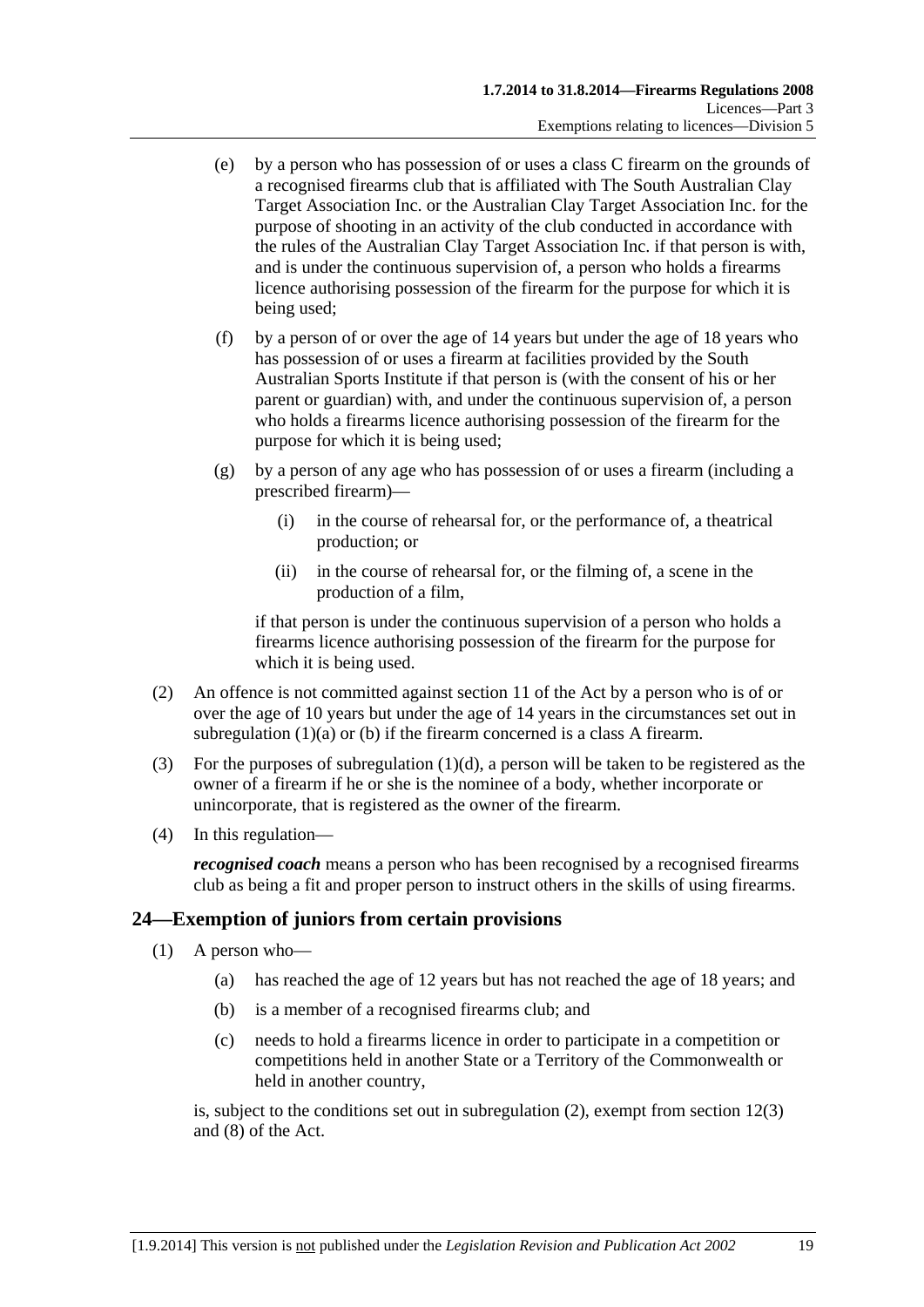- <span id="page-18-0"></span> (e) by a person who has possession of or uses a class C firearm on the grounds of a recognised firearms club that is affiliated with The South Australian Clay Target Association Inc. or the Australian Clay Target Association Inc. for the purpose of shooting in an activity of the club conducted in accordance with the rules of the Australian Clay Target Association Inc. if that person is with, and is under the continuous supervision of, a person who holds a firearms licence authorising possession of the firearm for the purpose for which it is being used;
- (f) by a person of or over the age of 14 years but under the age of 18 years who has possession of or uses a firearm at facilities provided by the South Australian Sports Institute if that person is (with the consent of his or her parent or guardian) with, and under the continuous supervision of, a person who holds a firearms licence authorising possession of the firearm for the purpose for which it is being used;
- (g) by a person of any age who has possession of or uses a firearm (including a prescribed firearm)—
	- (i) in the course of rehearsal for, or the performance of, a theatrical production; or
	- (ii) in the course of rehearsal for, or the filming of, a scene in the production of a film,

if that person is under the continuous supervision of a person who holds a firearms licence authorising possession of the firearm for the purpose for which it is being used.

- (2) An offence is not committed against section 11 of the Act by a person who is of or over the age of 10 years but under the age of 14 years in the circumstances set out in [subregulation \(1\)\(a\)](#page-17-0) or [\(b\)](#page-17-0) if the firearm concerned is a class A firearm.
- (3) For the purposes of [subregulation \(1\)\(d\)](#page-17-0), a person will be taken to be registered as the owner of a firearm if he or she is the nominee of a body, whether incorporate or unincorporate, that is registered as the owner of the firearm.
- (4) In this regulation—

*recognised coach* means a person who has been recognised by a recognised firearms club as being a fit and proper person to instruct others in the skills of using firearms.

# **24—Exemption of juniors from certain provisions**

- (1) A person who—
	- (a) has reached the age of 12 years but has not reached the age of 18 years; and
	- (b) is a member of a recognised firearms club; and
	- (c) needs to hold a firearms licence in order to participate in a competition or competitions held in another State or a Territory of the Commonwealth or held in another country,

is, subject to the conditions set out in [subregulation \(2\)](#page-19-0), exempt from section 12(3) and (8) of the Act.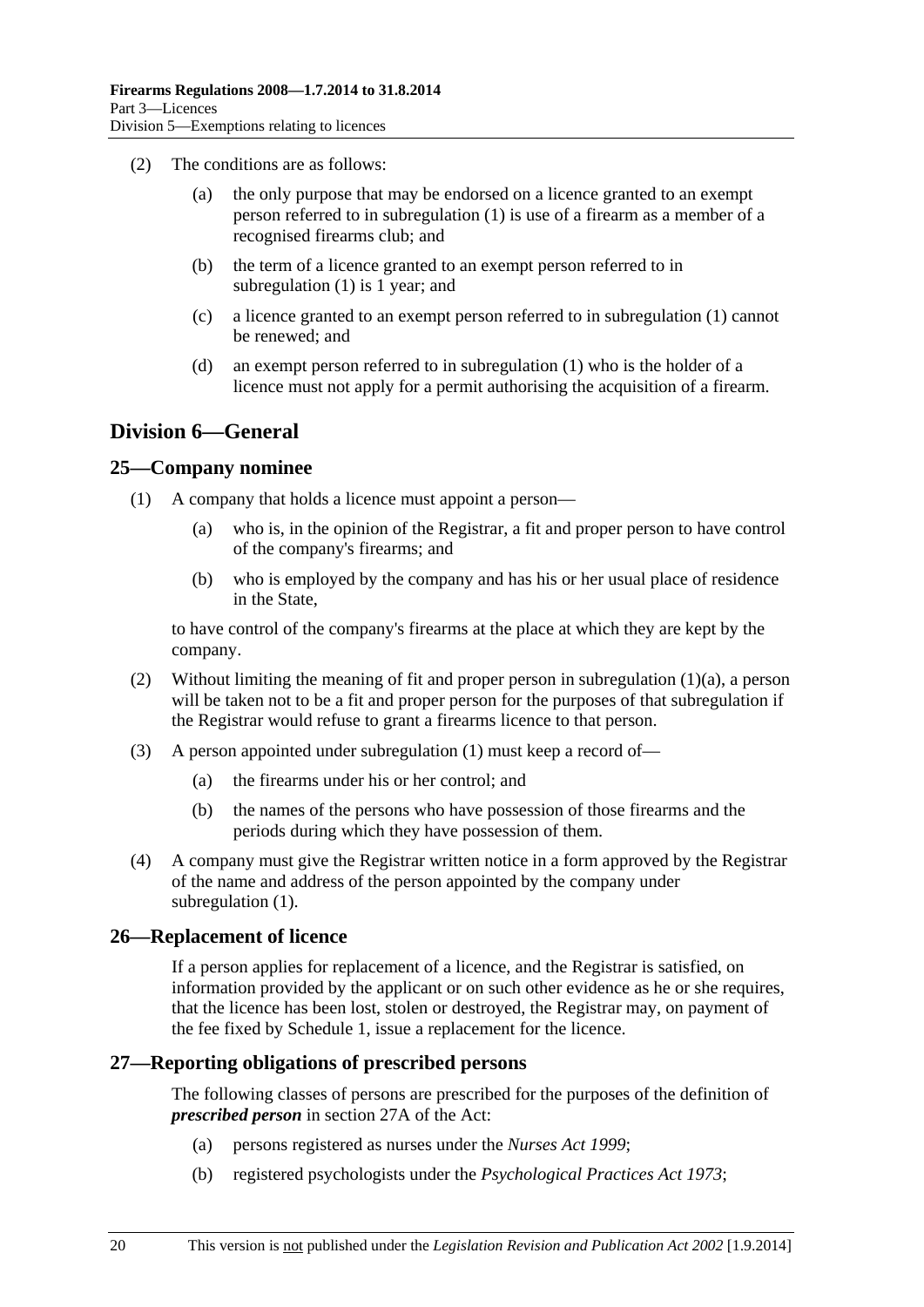- <span id="page-19-0"></span> (2) The conditions are as follows:
	- (a) the only purpose that may be endorsed on a licence granted to an exempt person referred to in [subregulation \(1\)](#page-18-0) is use of a firearm as a member of a recognised firearms club; and
	- (b) the term of a licence granted to an exempt person referred to in [subregulation \(1\)](#page-18-0) is 1 year; and
	- (c) a licence granted to an exempt person referred to in [subregulation \(1\)](#page-18-0) cannot be renewed; and
	- (d) an exempt person referred to in [subregulation \(1\)](#page-18-0) who is the holder of a licence must not apply for a permit authorising the acquisition of a firearm.

# **Division 6—General**

## **25—Company nominee**

- (1) A company that holds a licence must appoint a person—
	- (a) who is, in the opinion of the Registrar, a fit and proper person to have control of the company's firearms; and
	- (b) who is employed by the company and has his or her usual place of residence in the State,

to have control of the company's firearms at the place at which they are kept by the company.

- (2) Without limiting the meaning of fit and proper person in [subregulation \(1\)\(a\),](#page-19-0) a person will be taken not to be a fit and proper person for the purposes of that subregulation if the Registrar would refuse to grant a firearms licence to that person.
- (3) A person appointed under [subregulation \(1\)](#page-19-0) must keep a record of—
	- (a) the firearms under his or her control; and
	- (b) the names of the persons who have possession of those firearms and the periods during which they have possession of them.
- (4) A company must give the Registrar written notice in a form approved by the Registrar of the name and address of the person appointed by the company under [subregulation \(1\).](#page-19-0)

### **26—Replacement of licence**

If a person applies for replacement of a licence, and the Registrar is satisfied, on information provided by the applicant or on such other evidence as he or she requires, that the licence has been lost, stolen or destroyed, the Registrar may, on payment of the fee fixed by [Schedule 1](#page-29-0), issue a replacement for the licence.

# **27—Reporting obligations of prescribed persons**

The following classes of persons are prescribed for the purposes of the definition of *prescribed person* in section 27A of the Act:

- (a) persons registered as nurses under the *[Nurses Act 1999](http://www.legislation.sa.gov.au/index.aspx?action=legref&type=act&legtitle=Nurses%20Act%201999)*;
- (b) registered psychologists under the *[Psychological Practices Act 1973](http://www.legislation.sa.gov.au/index.aspx?action=legref&type=act&legtitle=Psychological%20Practices%20Act%201973)*;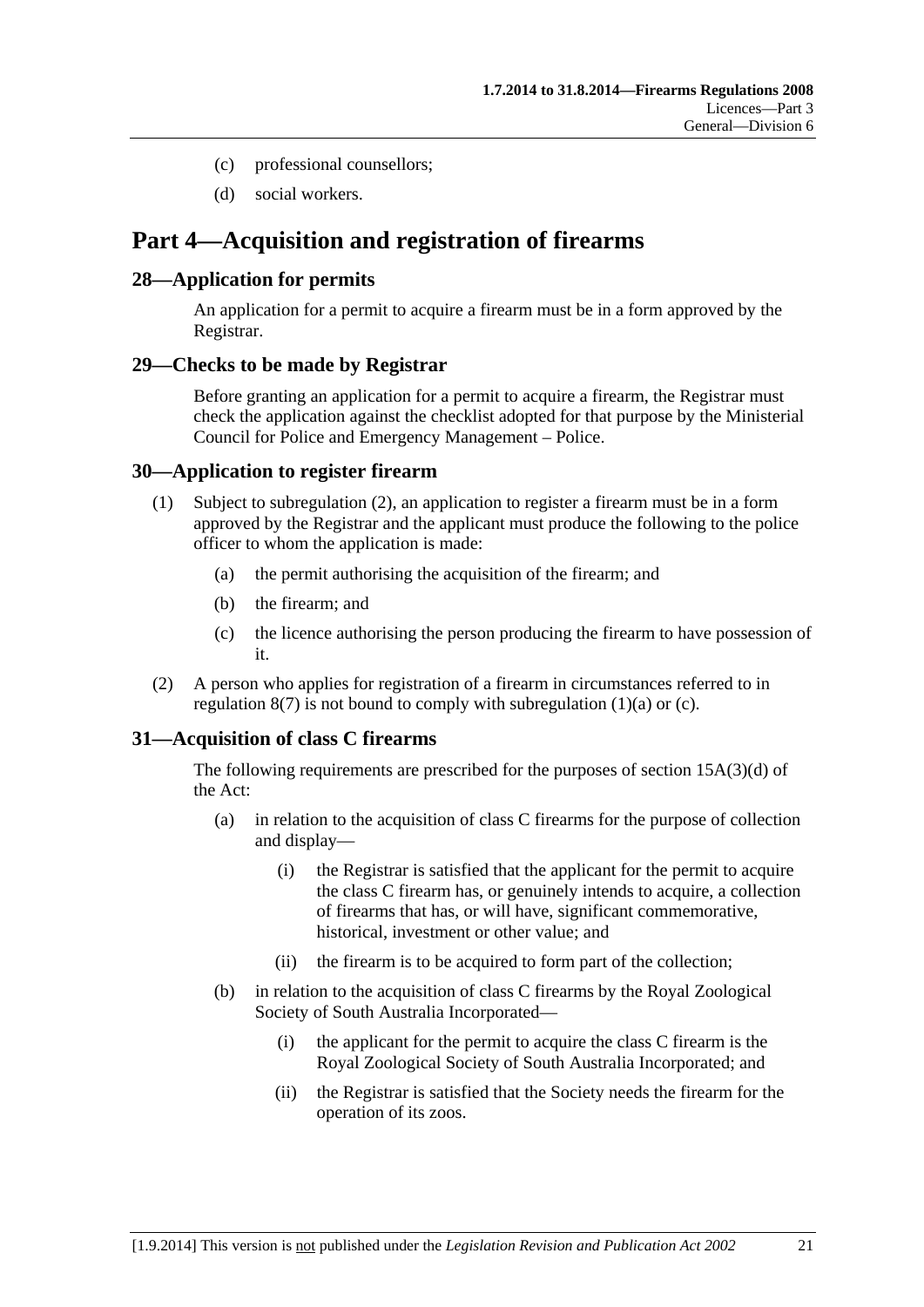- <span id="page-20-0"></span>(c) professional counsellors;
- (d) social workers.

# **Part 4—Acquisition and registration of firearms**

# **28—Application for permits**

An application for a permit to acquire a firearm must be in a form approved by the Registrar.

# **29—Checks to be made by Registrar**

Before granting an application for a permit to acquire a firearm, the Registrar must check the application against the checklist adopted for that purpose by the Ministerial Council for Police and Emergency Management – Police.

# **30—Application to register firearm**

- (1) Subject to [subregulation \(2\),](#page-20-0) an application to register a firearm must be in a form approved by the Registrar and the applicant must produce the following to the police officer to whom the application is made:
	- (a) the permit authorising the acquisition of the firearm; and
	- (b) the firearm; and
	- (c) the licence authorising the person producing the firearm to have possession of it.
- (2) A person who applies for registration of a firearm in circumstances referred to in regulation  $8(7)$  is not bound to comply with subregulation  $(1)(a)$  or  $(c)$ .

# **31—Acquisition of class C firearms**

The following requirements are prescribed for the purposes of section 15A(3)(d) of the Act:

- (a) in relation to the acquisition of class C firearms for the purpose of collection and display—
	- (i) the Registrar is satisfied that the applicant for the permit to acquire the class C firearm has, or genuinely intends to acquire, a collection of firearms that has, or will have, significant commemorative, historical, investment or other value; and
	- (ii) the firearm is to be acquired to form part of the collection;
- (b) in relation to the acquisition of class C firearms by the Royal Zoological Society of South Australia Incorporated—
	- (i) the applicant for the permit to acquire the class C firearm is the Royal Zoological Society of South Australia Incorporated; and
	- (ii) the Registrar is satisfied that the Society needs the firearm for the operation of its zoos.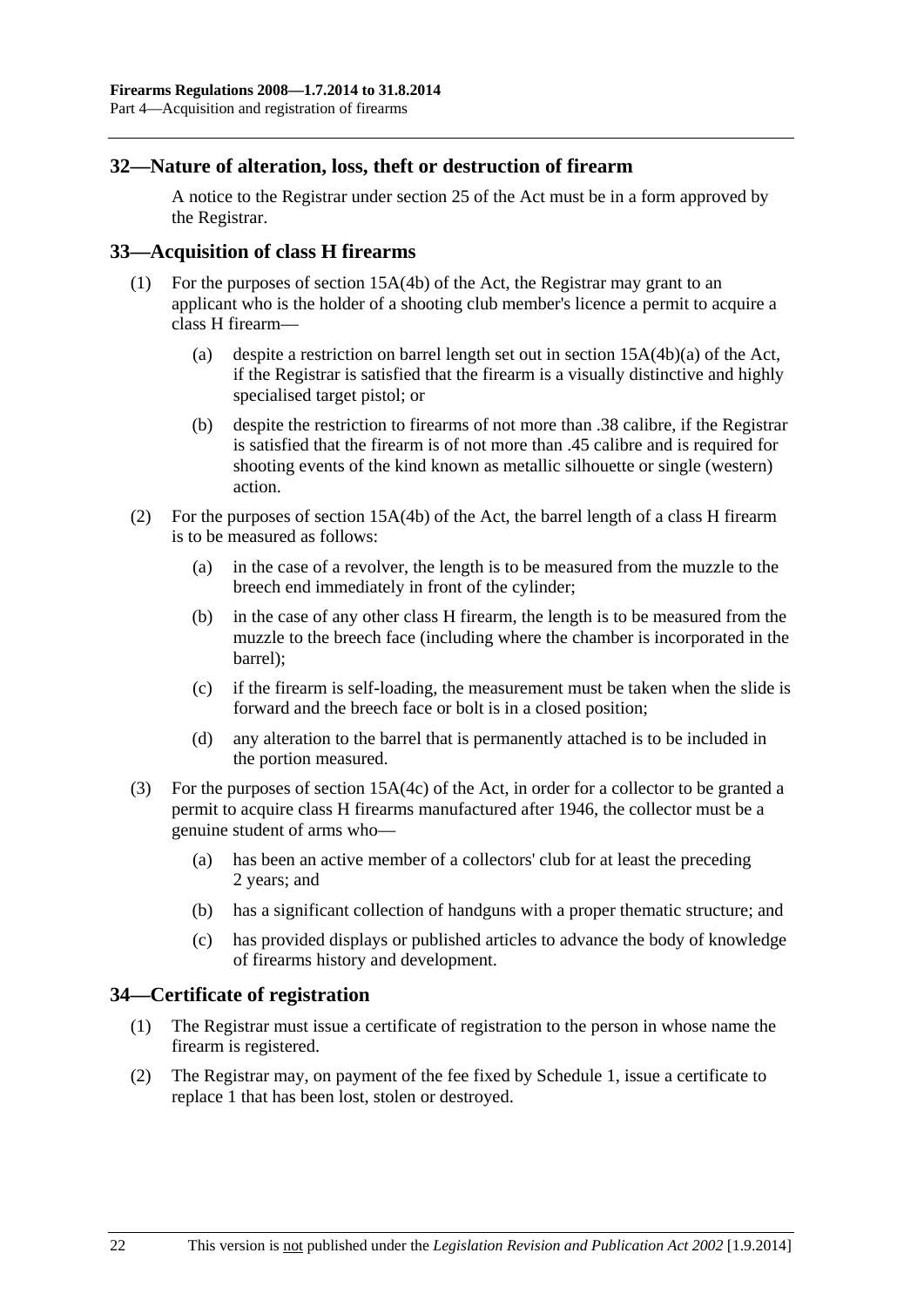## <span id="page-21-0"></span>**32—Nature of alteration, loss, theft or destruction of firearm**

A notice to the Registrar under section 25 of the Act must be in a form approved by the Registrar.

## **33—Acquisition of class H firearms**

- (1) For the purposes of section 15A(4b) of the Act, the Registrar may grant to an applicant who is the holder of a shooting club member's licence a permit to acquire a class H firearm—
	- (a) despite a restriction on barrel length set out in section 15A(4b)(a) of the Act, if the Registrar is satisfied that the firearm is a visually distinctive and highly specialised target pistol; or
	- (b) despite the restriction to firearms of not more than .38 calibre, if the Registrar is satisfied that the firearm is of not more than .45 calibre and is required for shooting events of the kind known as metallic silhouette or single (western) action.
- (2) For the purposes of section 15A(4b) of the Act, the barrel length of a class H firearm is to be measured as follows:
	- (a) in the case of a revolver, the length is to be measured from the muzzle to the breech end immediately in front of the cylinder;
	- (b) in the case of any other class H firearm, the length is to be measured from the muzzle to the breech face (including where the chamber is incorporated in the barrel);
	- (c) if the firearm is self-loading, the measurement must be taken when the slide is forward and the breech face or bolt is in a closed position;
	- (d) any alteration to the barrel that is permanently attached is to be included in the portion measured.
- (3) For the purposes of section 15A(4c) of the Act, in order for a collector to be granted a permit to acquire class H firearms manufactured after 1946, the collector must be a genuine student of arms who—
	- (a) has been an active member of a collectors' club for at least the preceding 2 years; and
	- (b) has a significant collection of handguns with a proper thematic structure; and
	- (c) has provided displays or published articles to advance the body of knowledge of firearms history and development.

### **34—Certificate of registration**

- (1) The Registrar must issue a certificate of registration to the person in whose name the firearm is registered.
- (2) The Registrar may, on payment of the fee fixed by [Schedule 1,](#page-0-0) issue a certificate to replace 1 that has been lost, stolen or destroyed.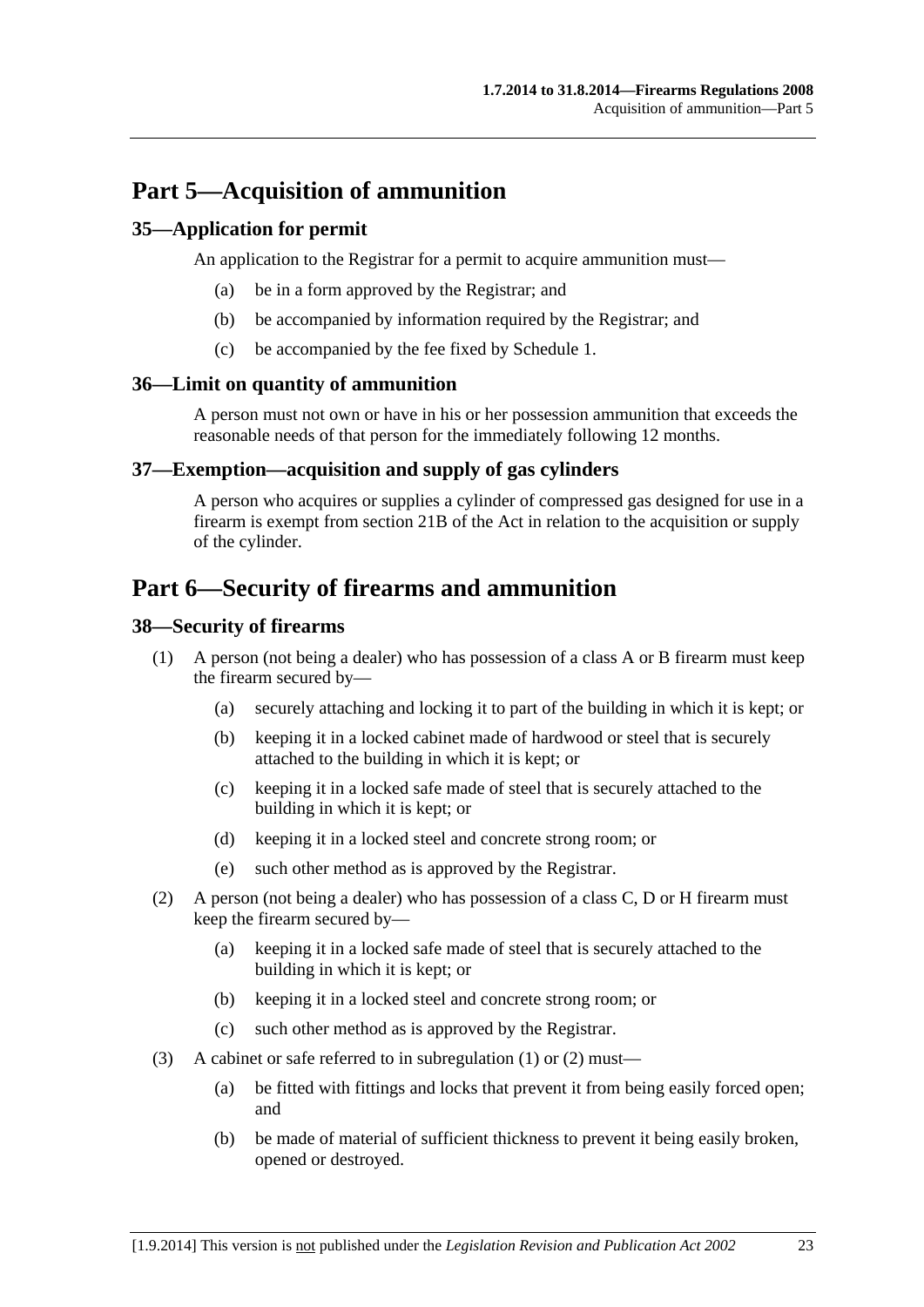# <span id="page-22-0"></span>**Part 5—Acquisition of ammunition**

# **35—Application for permit**

An application to the Registrar for a permit to acquire ammunition must—

- (a) be in a form approved by the Registrar; and
- (b) be accompanied by information required by the Registrar; and
- (c) be accompanied by the fee fixed by [Schedule 1.](#page-0-0)

### **36—Limit on quantity of ammunition**

A person must not own or have in his or her possession ammunition that exceeds the reasonable needs of that person for the immediately following 12 months.

# **37—Exemption—acquisition and supply of gas cylinders**

A person who acquires or supplies a cylinder of compressed gas designed for use in a firearm is exempt from section 21B of the Act in relation to the acquisition or supply of the cylinder.

# **Part 6—Security of firearms and ammunition**

## **38—Security of firearms**

- (1) A person (not being a dealer) who has possession of a class A or B firearm must keep the firearm secured by—
	- (a) securely attaching and locking it to part of the building in which it is kept; or
	- (b) keeping it in a locked cabinet made of hardwood or steel that is securely attached to the building in which it is kept; or
	- (c) keeping it in a locked safe made of steel that is securely attached to the building in which it is kept; or
	- (d) keeping it in a locked steel and concrete strong room; or
	- (e) such other method as is approved by the Registrar.
- (2) A person (not being a dealer) who has possession of a class C, D or H firearm must keep the firearm secured by—
	- (a) keeping it in a locked safe made of steel that is securely attached to the building in which it is kept; or
	- (b) keeping it in a locked steel and concrete strong room; or
	- (c) such other method as is approved by the Registrar.
- (3) A cabinet or safe referred to in [subregulation \(1\)](#page-22-0) or [\(2\)](#page-22-0) must—
	- (a) be fitted with fittings and locks that prevent it from being easily forced open; and
	- (b) be made of material of sufficient thickness to prevent it being easily broken, opened or destroyed.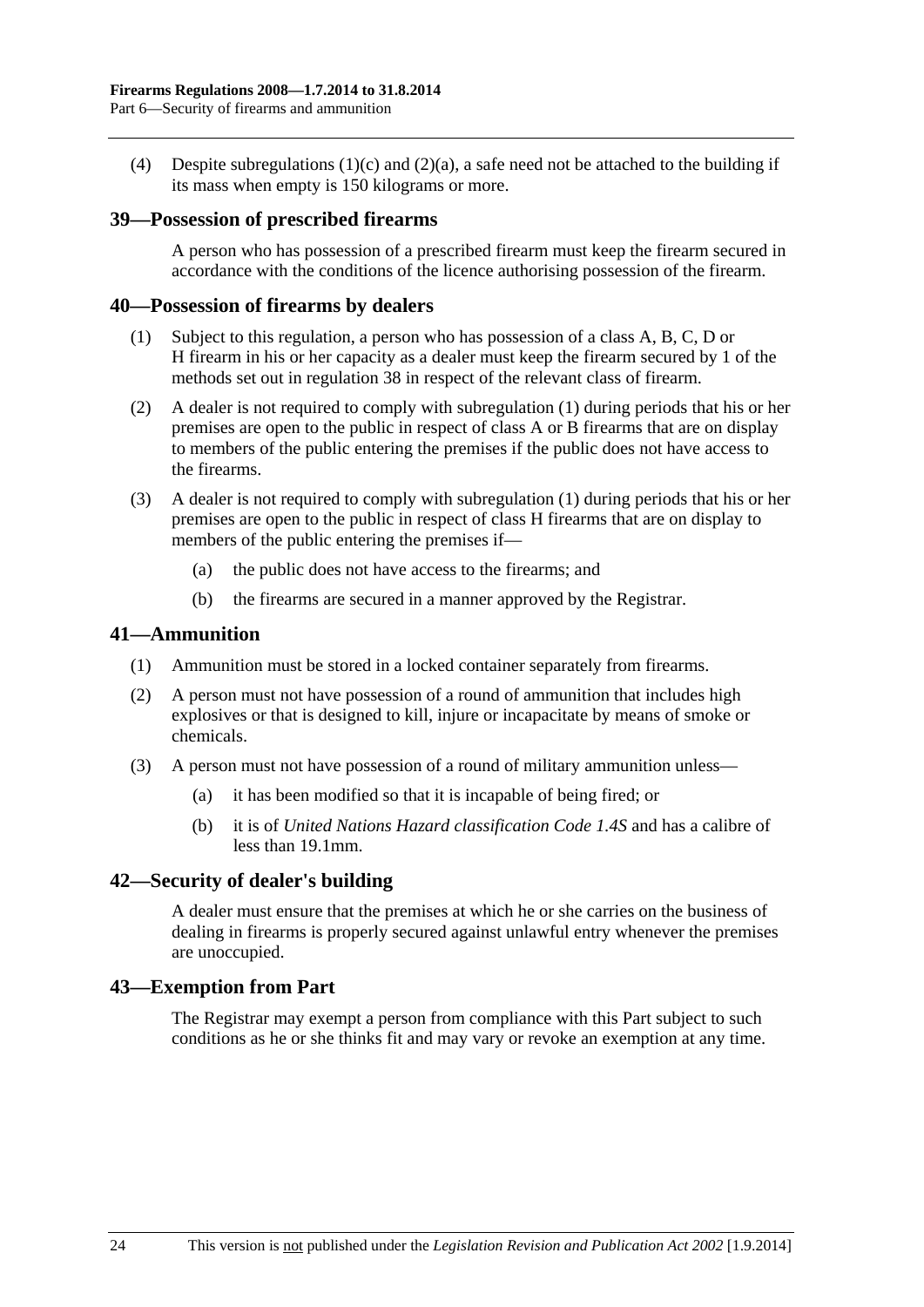<span id="page-23-0"></span>(4) Despite [subregulations \(1\)\(c\)](#page-22-0) and [\(2\)\(a\)](#page-22-0), a safe need not be attached to the building if its mass when empty is 150 kilograms or more.

### **39—Possession of prescribed firearms**

A person who has possession of a prescribed firearm must keep the firearm secured in accordance with the conditions of the licence authorising possession of the firearm.

#### **40—Possession of firearms by dealers**

- (1) Subject to this regulation, a person who has possession of a class A, B, C, D or H firearm in his or her capacity as a dealer must keep the firearm secured by 1 of the methods set out in [regulation 38](#page-22-0) in respect of the relevant class of firearm.
- (2) A dealer is not required to comply with [subregulation \(1\)](#page-23-0) during periods that his or her premises are open to the public in respect of class A or B firearms that are on display to members of the public entering the premises if the public does not have access to the firearms.
- (3) A dealer is not required to comply with [subregulation \(1\)](#page-23-0) during periods that his or her premises are open to the public in respect of class H firearms that are on display to members of the public entering the premises if—
	- (a) the public does not have access to the firearms; and
	- (b) the firearms are secured in a manner approved by the Registrar.

### **41—Ammunition**

- (1) Ammunition must be stored in a locked container separately from firearms.
- (2) A person must not have possession of a round of ammunition that includes high explosives or that is designed to kill, injure or incapacitate by means of smoke or chemicals.
- (3) A person must not have possession of a round of military ammunition unless—
	- (a) it has been modified so that it is incapable of being fired; or
	- (b) it is of *United Nations Hazard classification Code 1.4S* and has a calibre of less than 19.1mm.

### **42—Security of dealer's building**

A dealer must ensure that the premises at which he or she carries on the business of dealing in firearms is properly secured against unlawful entry whenever the premises are unoccupied.

### **43—Exemption from Part**

The Registrar may exempt a person from compliance with this Part subject to such conditions as he or she thinks fit and may vary or revoke an exemption at any time.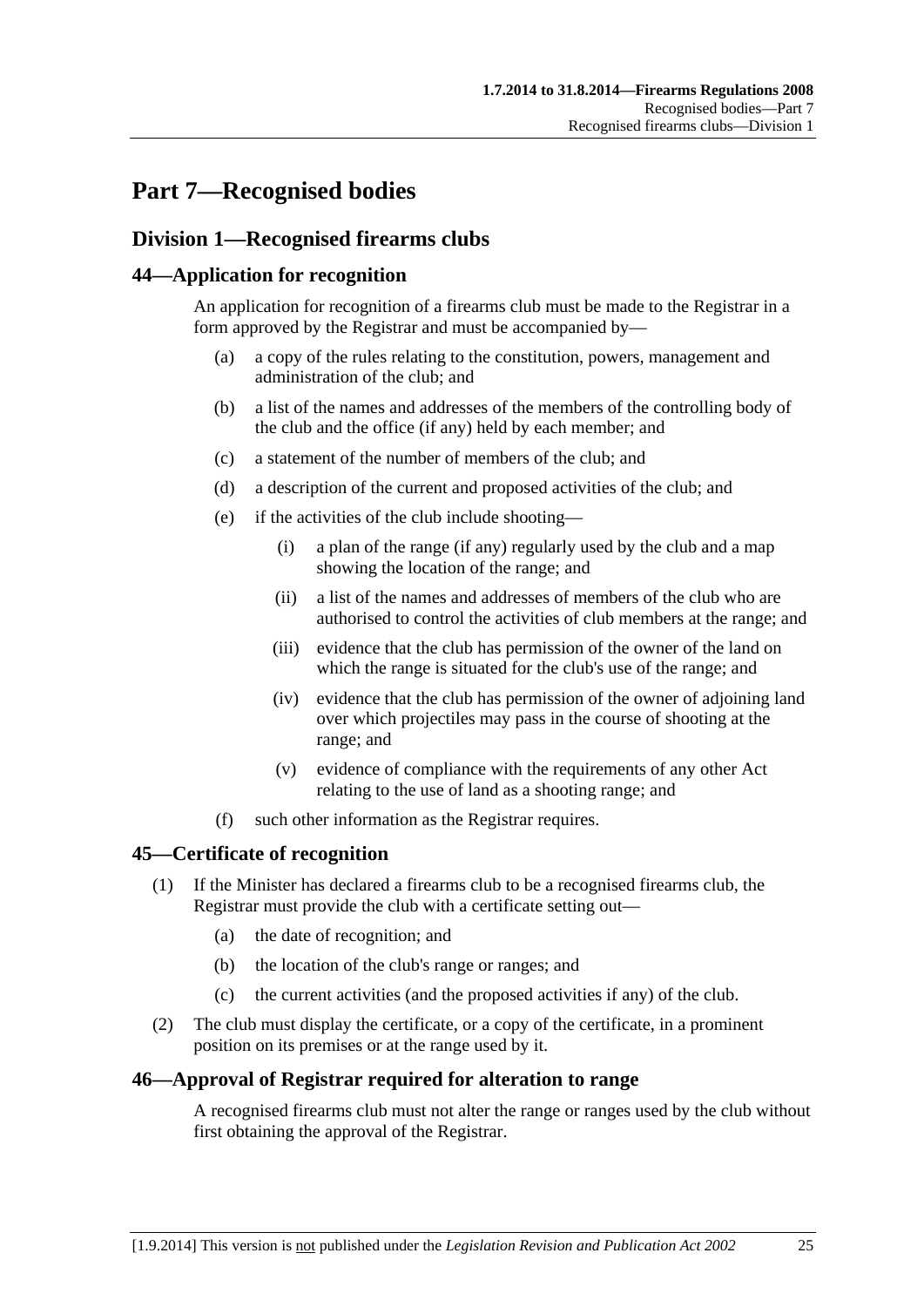# <span id="page-24-0"></span>**Part 7—Recognised bodies**

# **Division 1—Recognised firearms clubs**

# **44—Application for recognition**

An application for recognition of a firearms club must be made to the Registrar in a form approved by the Registrar and must be accompanied by—

- (a) a copy of the rules relating to the constitution, powers, management and administration of the club; and
- (b) a list of the names and addresses of the members of the controlling body of the club and the office (if any) held by each member; and
- (c) a statement of the number of members of the club; and
- (d) a description of the current and proposed activities of the club; and
- (e) if the activities of the club include shooting—
	- (i) a plan of the range (if any) regularly used by the club and a map showing the location of the range; and
	- (ii) a list of the names and addresses of members of the club who are authorised to control the activities of club members at the range; and
	- (iii) evidence that the club has permission of the owner of the land on which the range is situated for the club's use of the range; and
	- (iv) evidence that the club has permission of the owner of adjoining land over which projectiles may pass in the course of shooting at the range; and
	- (v) evidence of compliance with the requirements of any other Act relating to the use of land as a shooting range; and
- (f) such other information as the Registrar requires.

# **45—Certificate of recognition**

- (1) If the Minister has declared a firearms club to be a recognised firearms club, the Registrar must provide the club with a certificate setting out—
	- (a) the date of recognition; and
	- (b) the location of the club's range or ranges; and
	- (c) the current activities (and the proposed activities if any) of the club.
- (2) The club must display the certificate, or a copy of the certificate, in a prominent position on its premises or at the range used by it.

### **46—Approval of Registrar required for alteration to range**

A recognised firearms club must not alter the range or ranges used by the club without first obtaining the approval of the Registrar.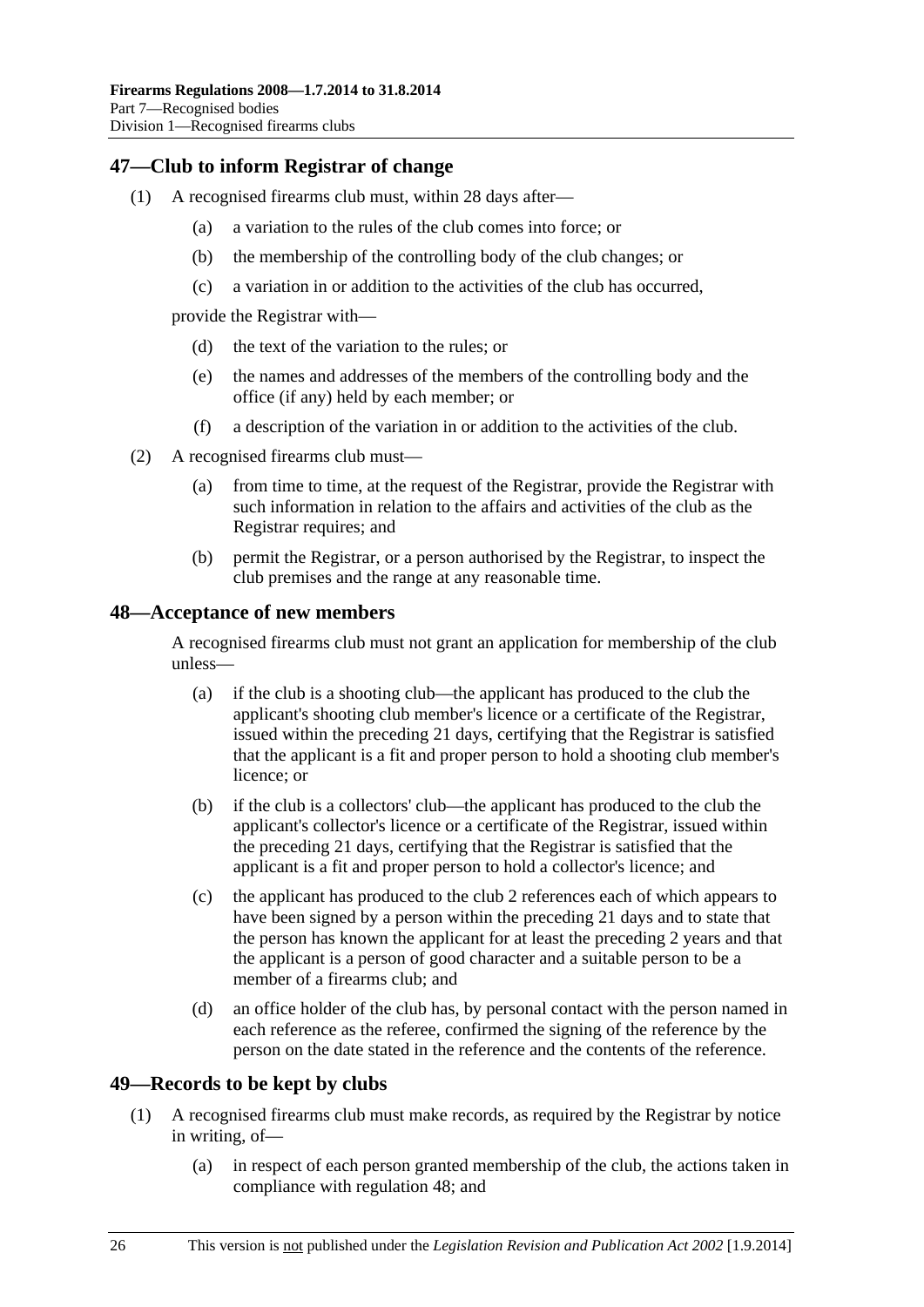# <span id="page-25-0"></span>**47—Club to inform Registrar of change**

- (1) A recognised firearms club must, within 28 days after—
	- (a) a variation to the rules of the club comes into force; or
	- (b) the membership of the controlling body of the club changes; or
	- (c) a variation in or addition to the activities of the club has occurred,

provide the Registrar with—

- (d) the text of the variation to the rules; or
- (e) the names and addresses of the members of the controlling body and the office (if any) held by each member; or
- (f) a description of the variation in or addition to the activities of the club.
- (2) A recognised firearms club must—
	- (a) from time to time, at the request of the Registrar, provide the Registrar with such information in relation to the affairs and activities of the club as the Registrar requires; and
	- (b) permit the Registrar, or a person authorised by the Registrar, to inspect the club premises and the range at any reasonable time.

## **48—Acceptance of new members**

A recognised firearms club must not grant an application for membership of the club unless—

- (a) if the club is a shooting club—the applicant has produced to the club the applicant's shooting club member's licence or a certificate of the Registrar, issued within the preceding 21 days, certifying that the Registrar is satisfied that the applicant is a fit and proper person to hold a shooting club member's licence; or
- (b) if the club is a collectors' club—the applicant has produced to the club the applicant's collector's licence or a certificate of the Registrar, issued within the preceding 21 days, certifying that the Registrar is satisfied that the applicant is a fit and proper person to hold a collector's licence; and
- (c) the applicant has produced to the club 2 references each of which appears to have been signed by a person within the preceding 21 days and to state that the person has known the applicant for at least the preceding 2 years and that the applicant is a person of good character and a suitable person to be a member of a firearms club; and
- (d) an office holder of the club has, by personal contact with the person named in each reference as the referee, confirmed the signing of the reference by the person on the date stated in the reference and the contents of the reference.

# **49—Records to be kept by clubs**

- (1) A recognised firearms club must make records, as required by the Registrar by notice in writing, of—
	- (a) in respect of each person granted membership of the club, the actions taken in compliance with [regulation 48;](#page-25-0) and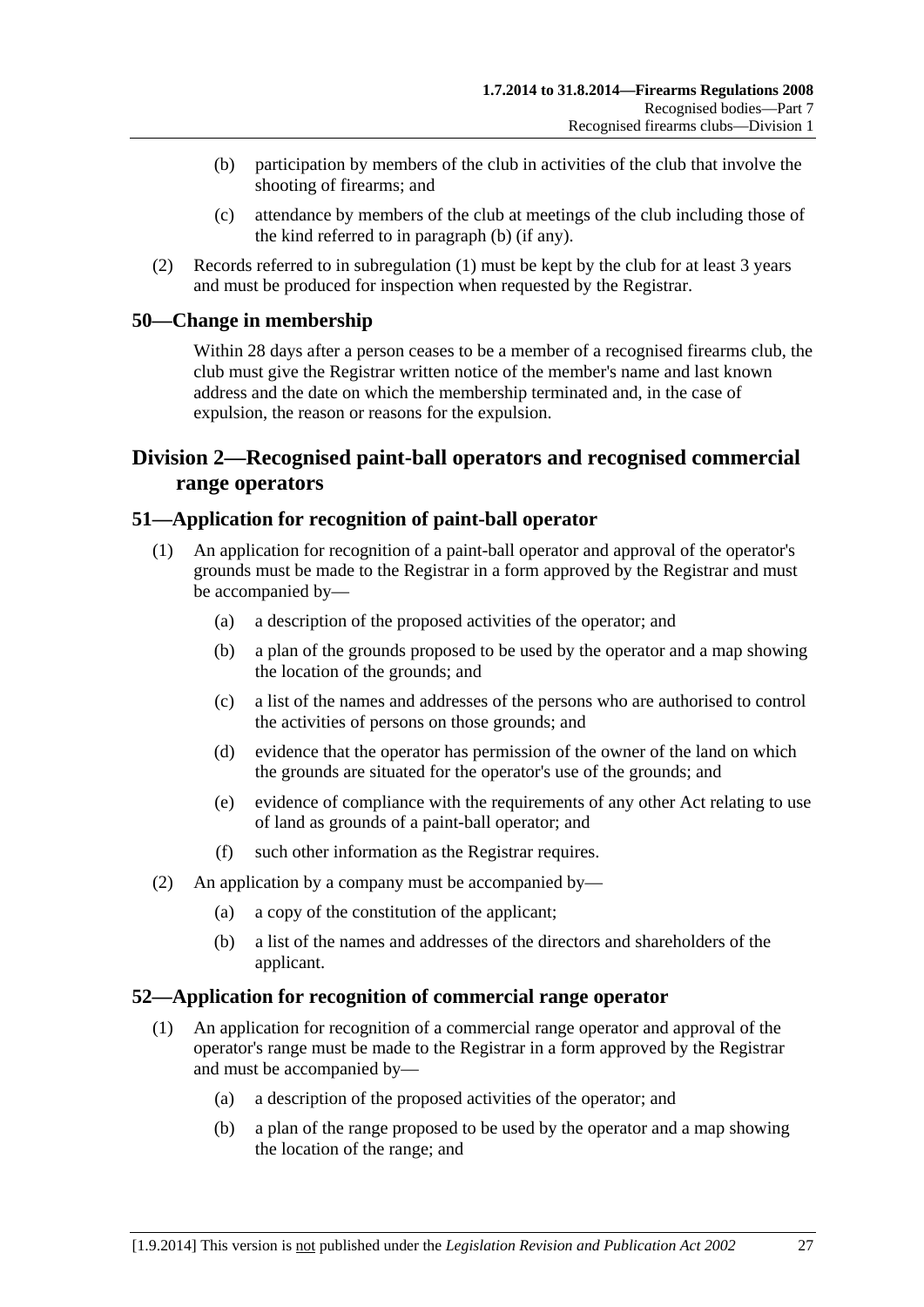- <span id="page-26-0"></span> (b) participation by members of the club in activities of the club that involve the shooting of firearms; and
- (c) attendance by members of the club at meetings of the club including those of the kind referred to in [paragraph \(b\)](#page-26-0) (if any).
- (2) Records referred to in [subregulation \(1\)](#page-25-0) must be kept by the club for at least 3 years and must be produced for inspection when requested by the Registrar.

# **50—Change in membership**

Within 28 days after a person ceases to be a member of a recognised firearms club, the club must give the Registrar written notice of the member's name and last known address and the date on which the membership terminated and, in the case of expulsion, the reason or reasons for the expulsion.

# **Division 2—Recognised paint-ball operators and recognised commercial range operators**

# **51—Application for recognition of paint-ball operator**

- (1) An application for recognition of a paint-ball operator and approval of the operator's grounds must be made to the Registrar in a form approved by the Registrar and must be accompanied by—
	- (a) a description of the proposed activities of the operator; and
	- (b) a plan of the grounds proposed to be used by the operator and a map showing the location of the grounds; and
	- (c) a list of the names and addresses of the persons who are authorised to control the activities of persons on those grounds; and
	- (d) evidence that the operator has permission of the owner of the land on which the grounds are situated for the operator's use of the grounds; and
	- (e) evidence of compliance with the requirements of any other Act relating to use of land as grounds of a paint-ball operator; and
	- (f) such other information as the Registrar requires.
- (2) An application by a company must be accompanied by—
	- (a) a copy of the constitution of the applicant;
	- (b) a list of the names and addresses of the directors and shareholders of the applicant.

# **52—Application for recognition of commercial range operator**

- (1) An application for recognition of a commercial range operator and approval of the operator's range must be made to the Registrar in a form approved by the Registrar and must be accompanied by—
	- (a) a description of the proposed activities of the operator; and
	- (b) a plan of the range proposed to be used by the operator and a map showing the location of the range; and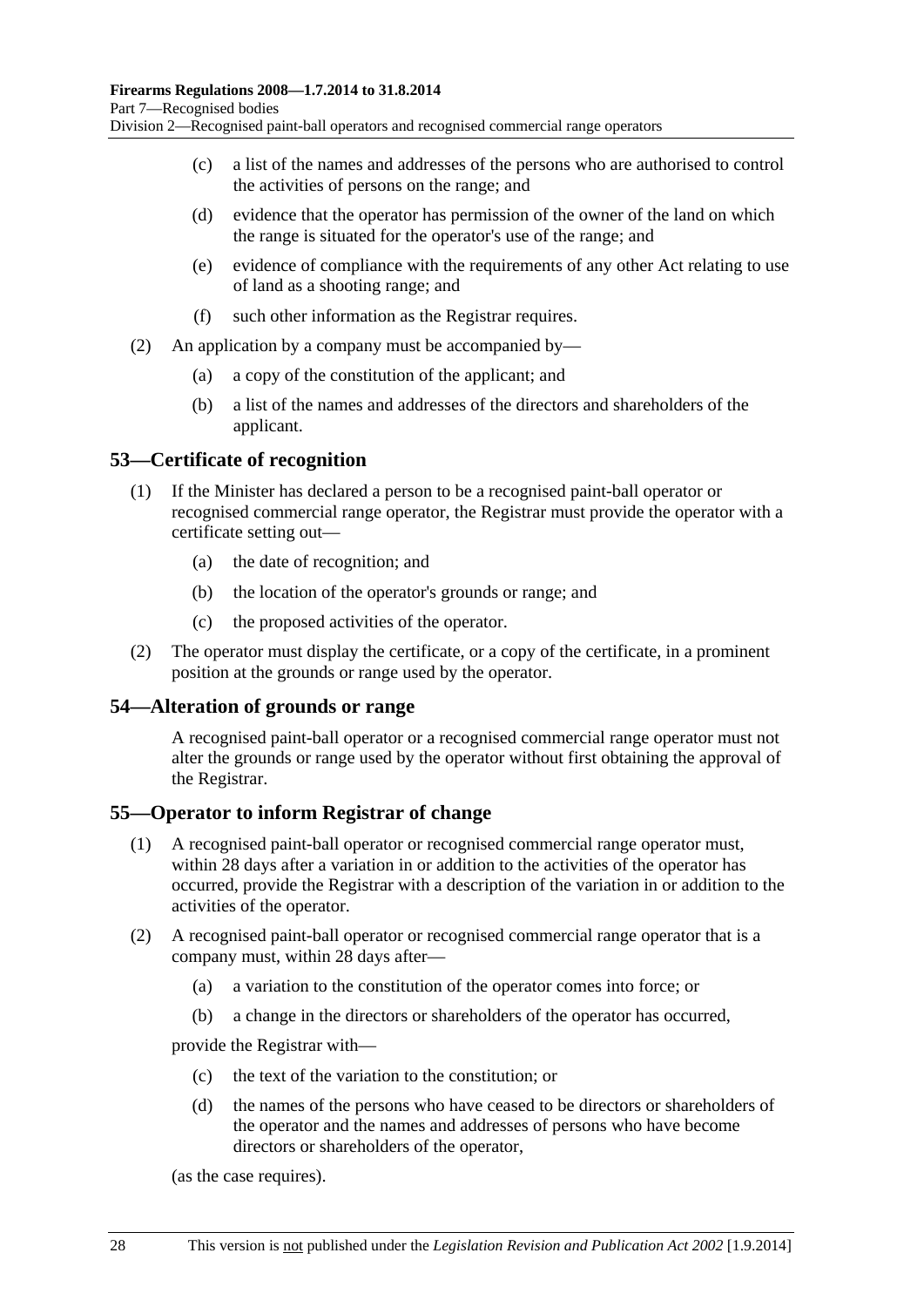- <span id="page-27-0"></span> (c) a list of the names and addresses of the persons who are authorised to control the activities of persons on the range; and
- (d) evidence that the operator has permission of the owner of the land on which the range is situated for the operator's use of the range; and
- (e) evidence of compliance with the requirements of any other Act relating to use of land as a shooting range; and
- (f) such other information as the Registrar requires.
- (2) An application by a company must be accompanied by—
	- (a) a copy of the constitution of the applicant; and
	- (b) a list of the names and addresses of the directors and shareholders of the applicant.

## **53—Certificate of recognition**

- (1) If the Minister has declared a person to be a recognised paint-ball operator or recognised commercial range operator, the Registrar must provide the operator with a certificate setting out—
	- (a) the date of recognition; and
	- (b) the location of the operator's grounds or range; and
	- (c) the proposed activities of the operator.
- (2) The operator must display the certificate, or a copy of the certificate, in a prominent position at the grounds or range used by the operator.

### **54—Alteration of grounds or range**

A recognised paint-ball operator or a recognised commercial range operator must not alter the grounds or range used by the operator without first obtaining the approval of the Registrar.

### **55—Operator to inform Registrar of change**

- (1) A recognised paint-ball operator or recognised commercial range operator must, within 28 days after a variation in or addition to the activities of the operator has occurred, provide the Registrar with a description of the variation in or addition to the activities of the operator.
- (2) A recognised paint-ball operator or recognised commercial range operator that is a company must, within 28 days after—
	- (a) a variation to the constitution of the operator comes into force; or
	- (b) a change in the directors or shareholders of the operator has occurred,

provide the Registrar with—

- (c) the text of the variation to the constitution; or
- (d) the names of the persons who have ceased to be directors or shareholders of the operator and the names and addresses of persons who have become directors or shareholders of the operator,

(as the case requires).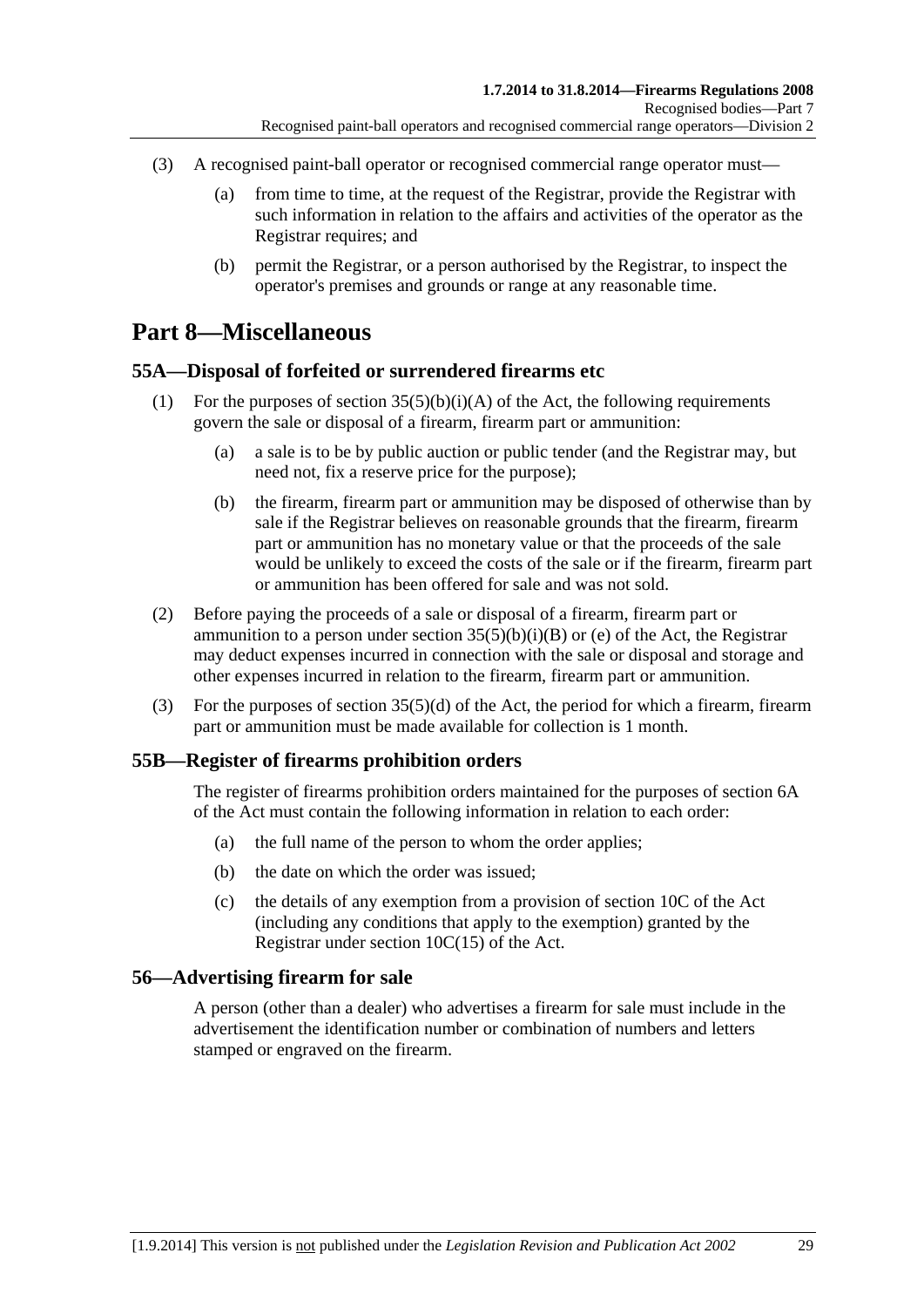- <span id="page-28-0"></span> (3) A recognised paint-ball operator or recognised commercial range operator must—
	- (a) from time to time, at the request of the Registrar, provide the Registrar with such information in relation to the affairs and activities of the operator as the Registrar requires; and
	- (b) permit the Registrar, or a person authorised by the Registrar, to inspect the operator's premises and grounds or range at any reasonable time.

# **Part 8—Miscellaneous**

# **55A—Disposal of forfeited or surrendered firearms etc**

- (1) For the purposes of section  $35(5)(b)(i)(A)$  of the Act, the following requirements govern the sale or disposal of a firearm, firearm part or ammunition:
	- (a) a sale is to be by public auction or public tender (and the Registrar may, but need not, fix a reserve price for the purpose);
	- (b) the firearm, firearm part or ammunition may be disposed of otherwise than by sale if the Registrar believes on reasonable grounds that the firearm, firearm part or ammunition has no monetary value or that the proceeds of the sale would be unlikely to exceed the costs of the sale or if the firearm, firearm part or ammunition has been offered for sale and was not sold.
- (2) Before paying the proceeds of a sale or disposal of a firearm, firearm part or ammunition to a person under section  $35(5)(b)(i)(B)$  or (e) of the Act, the Registrar may deduct expenses incurred in connection with the sale or disposal and storage and other expenses incurred in relation to the firearm, firearm part or ammunition.
- (3) For the purposes of section 35(5)(d) of the Act, the period for which a firearm, firearm part or ammunition must be made available for collection is 1 month.

# **55B—Register of firearms prohibition orders**

The register of firearms prohibition orders maintained for the purposes of section 6A of the Act must contain the following information in relation to each order:

- (a) the full name of the person to whom the order applies;
- (b) the date on which the order was issued;
- (c) the details of any exemption from a provision of section 10C of the Act (including any conditions that apply to the exemption) granted by the Registrar under section 10C(15) of the Act.

# **56—Advertising firearm for sale**

A person (other than a dealer) who advertises a firearm for sale must include in the advertisement the identification number or combination of numbers and letters stamped or engraved on the firearm.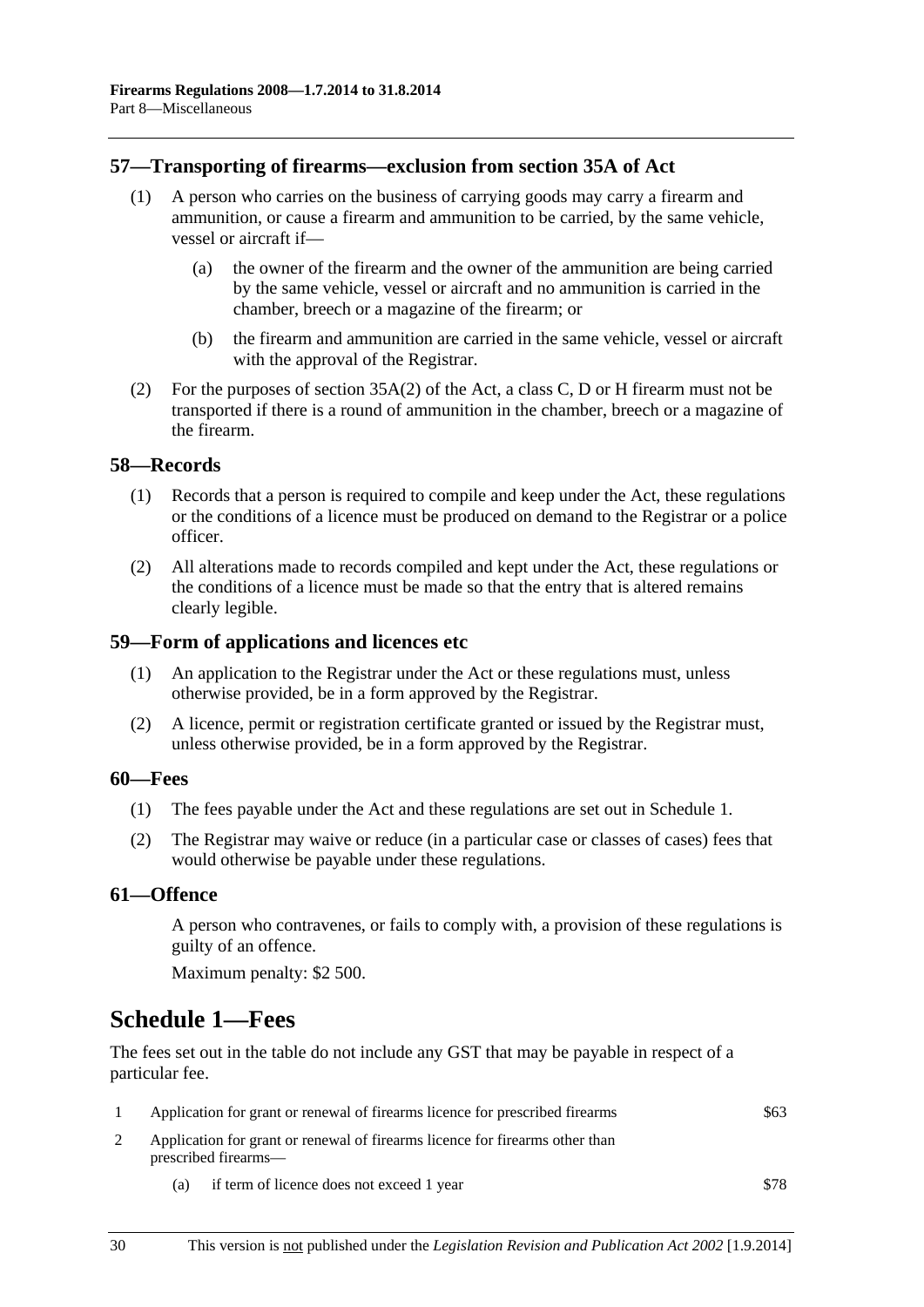## <span id="page-29-0"></span>**57—Transporting of firearms—exclusion from section 35A of Act**

- (1) A person who carries on the business of carrying goods may carry a firearm and ammunition, or cause a firearm and ammunition to be carried, by the same vehicle, vessel or aircraft if—
	- (a) the owner of the firearm and the owner of the ammunition are being carried by the same vehicle, vessel or aircraft and no ammunition is carried in the chamber, breech or a magazine of the firearm; or
	- (b) the firearm and ammunition are carried in the same vehicle, vessel or aircraft with the approval of the Registrar.
- (2) For the purposes of section 35A(2) of the Act, a class C, D or H firearm must not be transported if there is a round of ammunition in the chamber, breech or a magazine of the firearm.

#### **58—Records**

- (1) Records that a person is required to compile and keep under the Act, these regulations or the conditions of a licence must be produced on demand to the Registrar or a police officer.
- (2) All alterations made to records compiled and kept under the Act, these regulations or the conditions of a licence must be made so that the entry that is altered remains clearly legible.

#### **59—Form of applications and licences etc**

- (1) An application to the Registrar under the Act or these regulations must, unless otherwise provided, be in a form approved by the Registrar.
- (2) A licence, permit or registration certificate granted or issued by the Registrar must, unless otherwise provided, be in a form approved by the Registrar.

### **60—Fees**

- (1) The fees payable under the Act and these regulations are set out in [Schedule 1.](#page-0-0)
- (2) The Registrar may waive or reduce (in a particular case or classes of cases) fees that would otherwise be payable under these regulations.

### **61—Offence**

A person who contravenes, or fails to comply with, a provision of these regulations is guilty of an offence.

Maximum penalty: \$2 500.

# **Schedule 1—Fees**

The fees set out in the table do not include any GST that may be payable in respect of a particular fee.

|                                                                                                      | Application for grant or renewal of firearms licence for prescribed firearms | \$63 |
|------------------------------------------------------------------------------------------------------|------------------------------------------------------------------------------|------|
| Application for grant or renewal of firearms licence for firearms other than<br>prescribed firearms— |                                                                              |      |
| (a)                                                                                                  | if term of licence does not exceed 1 year                                    | \$78 |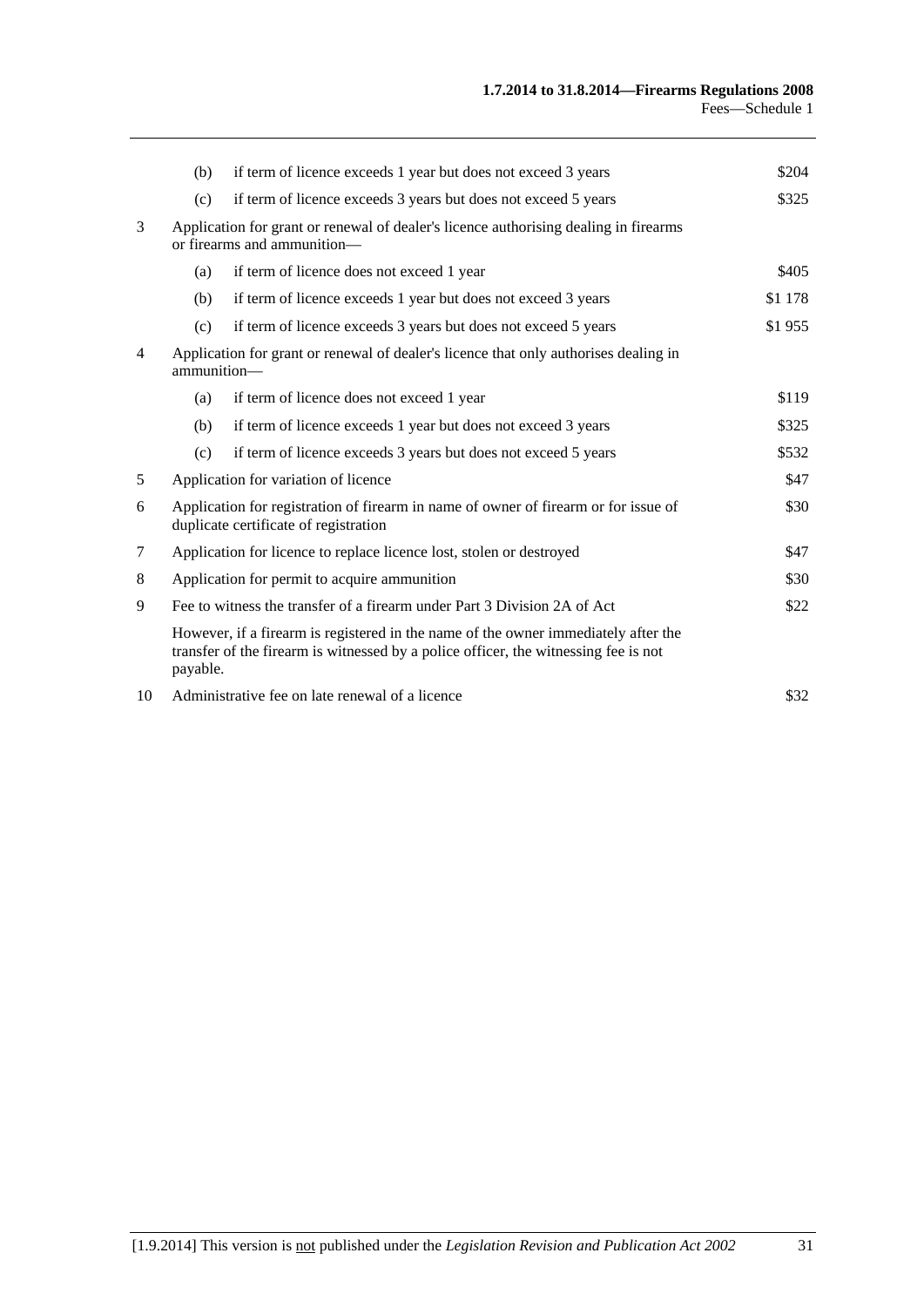|                | (b)                                                                                                                          | if term of licence exceeds 1 year but does not exceed 3 years                                                                                                             | \$204   |
|----------------|------------------------------------------------------------------------------------------------------------------------------|---------------------------------------------------------------------------------------------------------------------------------------------------------------------------|---------|
|                | (c)                                                                                                                          | if term of licence exceeds 3 years but does not exceed 5 years                                                                                                            | \$325   |
| 3              | Application for grant or renewal of dealer's licence authorising dealing in firearms<br>or firearms and ammunition—          |                                                                                                                                                                           |         |
|                | (a)                                                                                                                          | if term of licence does not exceed 1 year                                                                                                                                 | \$405   |
|                | (b)                                                                                                                          | if term of licence exceeds 1 year but does not exceed 3 years                                                                                                             | \$1 178 |
|                | (c)                                                                                                                          | if term of licence exceeds 3 years but does not exceed 5 years                                                                                                            | \$1955  |
| $\overline{4}$ | Application for grant or renewal of dealer's licence that only authorises dealing in<br>ammunition-                          |                                                                                                                                                                           |         |
|                | (a)                                                                                                                          | if term of licence does not exceed 1 year                                                                                                                                 | \$119   |
|                | (b)                                                                                                                          | if term of licence exceeds 1 year but does not exceed 3 years                                                                                                             | \$325   |
|                | (c)                                                                                                                          | if term of licence exceeds 3 years but does not exceed 5 years                                                                                                            | \$532   |
| 5              | Application for variation of licence                                                                                         |                                                                                                                                                                           | \$47    |
| 6              | Application for registration of firearm in name of owner of firearm or for issue of<br>duplicate certificate of registration |                                                                                                                                                                           | \$30    |
| 7              | Application for licence to replace licence lost, stolen or destroyed                                                         |                                                                                                                                                                           | \$47    |
| 8              | Application for permit to acquire ammunition                                                                                 |                                                                                                                                                                           | \$30    |
| 9              | Fee to witness the transfer of a firearm under Part 3 Division 2A of Act                                                     |                                                                                                                                                                           | \$22    |
|                | payable.                                                                                                                     | However, if a firearm is registered in the name of the owner immediately after the<br>transfer of the firearm is witnessed by a police officer, the witnessing fee is not |         |
| 10             | Administrative fee on late renewal of a licence                                                                              |                                                                                                                                                                           | \$32    |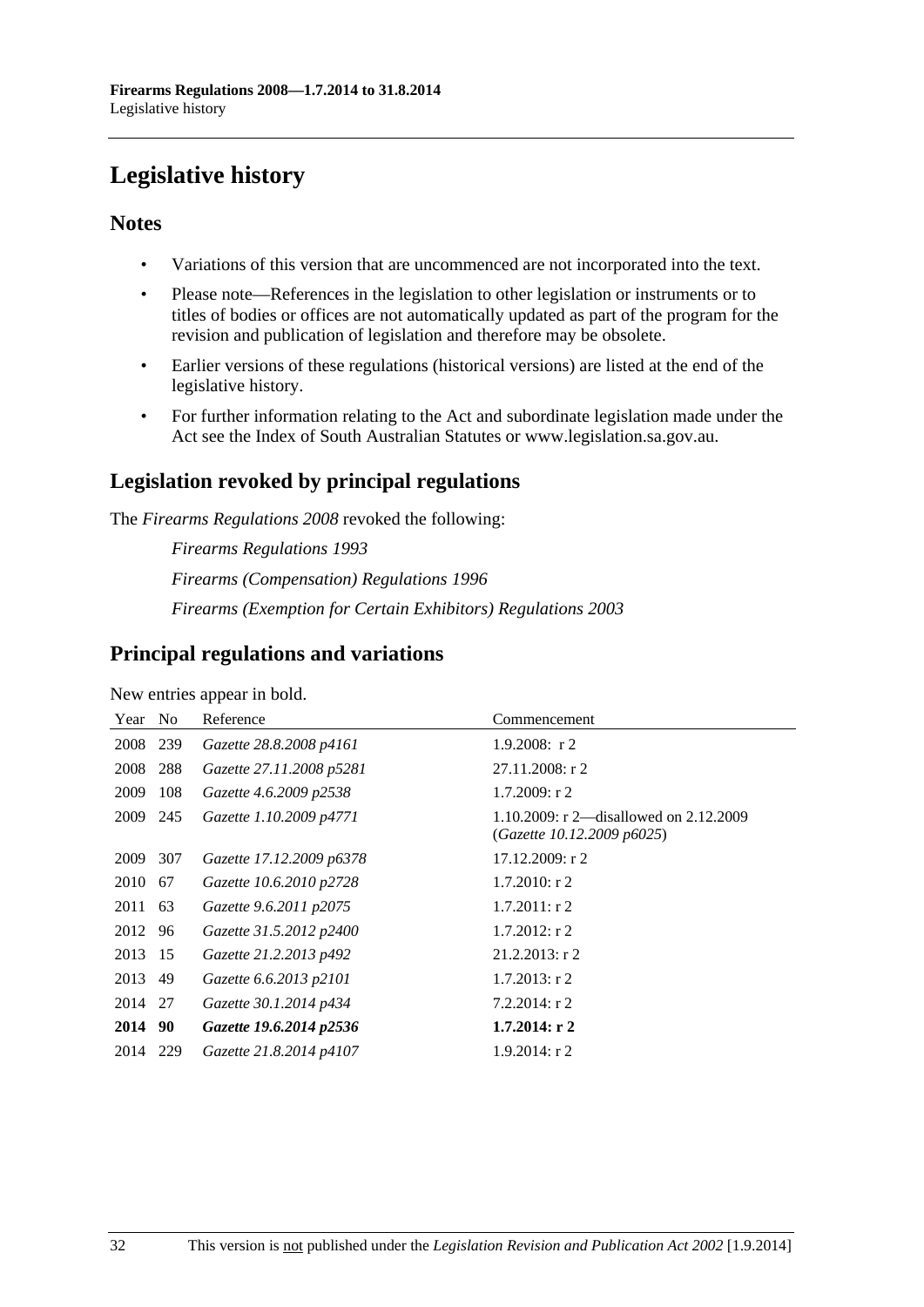# <span id="page-31-0"></span>**Legislative history**

# **Notes**

- Variations of this version that are uncommenced are not incorporated into the text.
- Please note—References in the legislation to other legislation or instruments or to titles of bodies or offices are not automatically updated as part of the program for the revision and publication of legislation and therefore may be obsolete.
- Earlier versions of these regulations (historical versions) are listed at the end of the legislative history.
- For further information relating to the Act and subordinate legislation made under the Act see the Index of South Australian Statutes or www.legislation.sa.gov.au.

# **Legislation revoked by principal regulations**

The *Firearms Regulations 2008* revoked the following:

*Firearms Regulations 1993 Firearms (Compensation) Regulations 1996 Firearms (Exemption for Certain Exhibitors) Regulations 2003*

# **Principal regulations and variations**

New entries appear in bold.

| Year     | - No | Reference                | Commencement                                                           |
|----------|------|--------------------------|------------------------------------------------------------------------|
| 2008 239 |      | Gazette 28.8.2008 p4161  | $1.9.2008$ : r 2                                                       |
| 2008     | 288  | Gazette 27.11.2008 p5281 | $27.11.2008:$ r 2                                                      |
| 2009     | 108  | Gazette 4.6.2009 p2538   | $1.7.2009$ : r 2                                                       |
| 2009     | 245  | Gazette 1.10.2009 p4771  | 1.10.2009: r 2—disallowed on $2.12.2009$<br>(Gazette 10.12.2009 p6025) |
| 2009     | 307  | Gazette 17.12.2009 p6378 | $17.12.2009:$ r 2                                                      |
| 2010     | 67   | Gazette 10.6.2010 p2728  | $1.7.2010$ : r 2                                                       |
| 2011     | 63   | Gazette 9.6.2011 p2075   | $1.7.2011:$ r 2                                                        |
| 2012 96  |      | Gazette 31.5.2012 p2400  | $1.7.2012$ : r 2                                                       |
| 2013 15  |      | Gazette 21.2.2013 p492   | $21.2.2013$ : r 2                                                      |
| 2013 49  |      | Gazette 6.6.2013 p2101   | $1.7.2013$ : r 2                                                       |
| 2014 27  |      | Gazette 30.1.2014 p434   | $7.2.2014$ : r 2                                                       |
| 2014 90  |      | Gazette 19.6.2014 p2536  | $1.7.2014$ : r 2                                                       |
| 2014     | 229  | Gazette 21.8.2014 p4107  | $1.9.2014$ : r 2                                                       |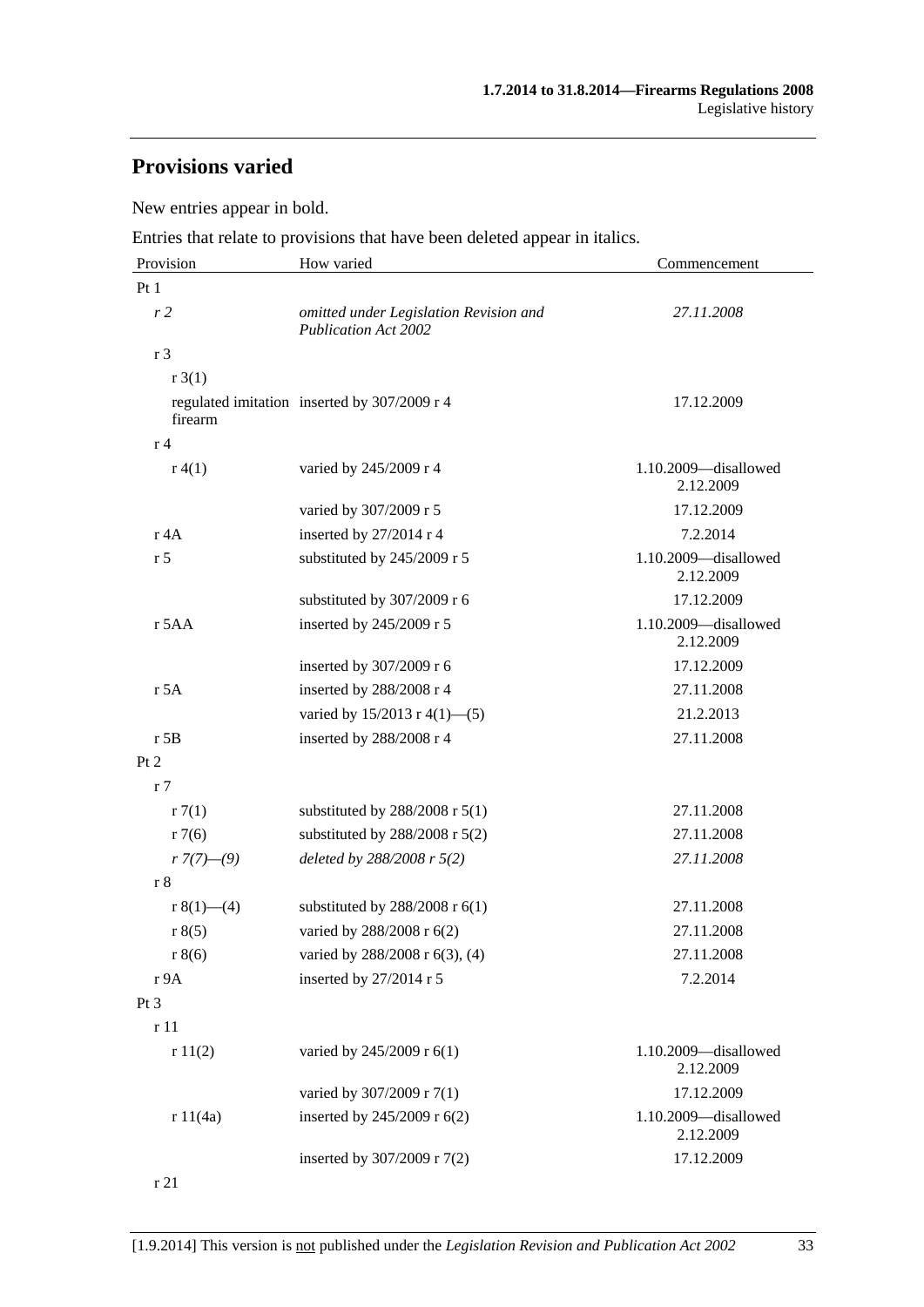# **Provisions varied**

New entries appear in bold.

Entries that relate to provisions that have been deleted appear in italics.

| Provision              | How varied                                                            | Commencement                      |
|------------------------|-----------------------------------------------------------------------|-----------------------------------|
| Pt1                    |                                                                       |                                   |
| r <sub>2</sub>         | omitted under Legislation Revision and<br><b>Publication Act 2002</b> | 27.11.2008                        |
| r <sub>3</sub>         |                                                                       |                                   |
| r3(1)                  |                                                                       |                                   |
| firearm                | regulated imitation inserted by 307/2009 r 4                          | 17.12.2009                        |
| r <sub>4</sub>         |                                                                       |                                   |
| r(4(1))                | varied by 245/2009 r 4                                                | 1.10.2009-disallowed<br>2.12.2009 |
|                        | varied by 307/2009 r 5                                                | 17.12.2009                        |
| r 4A                   | inserted by 27/2014 r 4                                               | 7.2.2014                          |
| r <sub>5</sub>         | substituted by 245/2009 r 5                                           | 1.10.2009-disallowed<br>2.12.2009 |
|                        | substituted by 307/2009 r 6                                           | 17.12.2009                        |
| r 5AA                  | inserted by 245/2009 r 5                                              | 1.10.2009-disallowed<br>2.12.2009 |
|                        | inserted by 307/2009 r 6                                              | 17.12.2009                        |
| r 5A                   | inserted by 288/2008 r 4                                              | 27.11.2008                        |
|                        | varied by $15/2013$ r 4(1)–(5)                                        | 21.2.2013                         |
| $r$ 5B                 | inserted by 288/2008 r 4                                              | 27.11.2008                        |
| Pt 2                   |                                                                       |                                   |
| r <sub>7</sub>         |                                                                       |                                   |
| r7(1)                  | substituted by $288/2008$ r $5(1)$                                    | 27.11.2008                        |
| r7(6)                  | substituted by $288/2008$ r $5(2)$                                    | 27.11.2008                        |
| $r \frac{7(7)-(9)}{2}$ | deleted by 288/2008 r 5(2)                                            | 27.11.2008                        |
| r8                     |                                                                       |                                   |
| r $8(1)$ —(4)          | substituted by $288/2008$ r $6(1)$                                    | 27.11.2008                        |
| r 8(5)                 | varied by 288/2008 r 6(2)                                             | 27.11.2008                        |
| r 8(6)                 | varied by 288/2008 r 6(3), (4)                                        | 27.11.2008                        |
| r 9A                   | inserted by 27/2014 r 5                                               | 7.2.2014                          |
| Pt <sub>3</sub>        |                                                                       |                                   |
| r 11                   |                                                                       |                                   |
| r11(2)                 | varied by 245/2009 r 6(1)                                             | 1.10.2009-disallowed<br>2.12.2009 |
|                        | varied by 307/2009 r 7(1)                                             | 17.12.2009                        |
| r 11(4a)               | inserted by 245/2009 r 6(2)                                           | 1.10.2009-disallowed<br>2.12.2009 |
|                        | inserted by 307/2009 r 7(2)                                           | 17.12.2009                        |
| r 21                   |                                                                       |                                   |